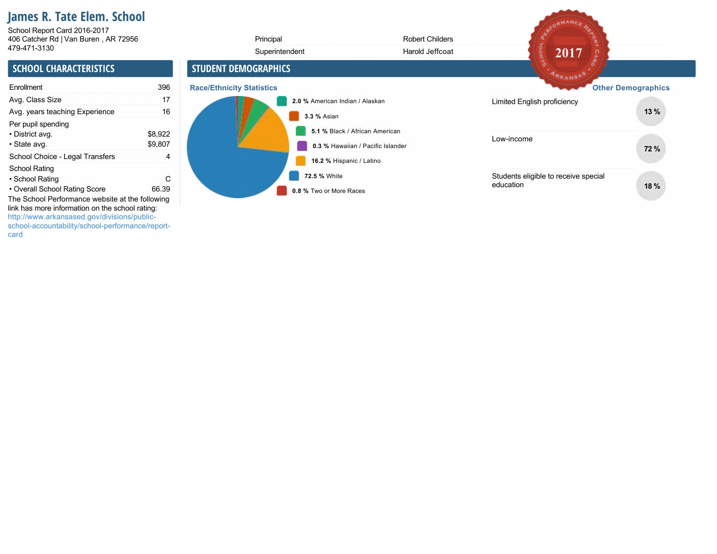# **James R. Tate Elem. School**

406 Catcher Rd | Van Buren , AR 72956 479-471-3130 School Report Card 2016-2017

| 406 Catcher Rd   Van Buren, AR 72956                                                                                                                                                                                                   |                         | Principal                        |                                          | <b>Robert Childers</b>                                              |                                                   |                           |
|----------------------------------------------------------------------------------------------------------------------------------------------------------------------------------------------------------------------------------------|-------------------------|----------------------------------|------------------------------------------|---------------------------------------------------------------------|---------------------------------------------------|---------------------------|
| 479-471-3130                                                                                                                                                                                                                           |                         |                                  | Superintendent                           | Harold Jeffcoat                                                     | 2017                                              |                           |
| <b>SCHOOL CHARACTERISTICS</b>                                                                                                                                                                                                          |                         | <b>STUDENT DEMOGRAPHICS</b>      |                                          |                                                                     | ARKANSA                                           |                           |
| Enrollment                                                                                                                                                                                                                             | 396                     | <b>Race/Ethnicity Statistics</b> |                                          |                                                                     |                                                   | <b>Other Demographics</b> |
| Avg. Class Size                                                                                                                                                                                                                        | 17                      |                                  | 2.0 % American Indian / Alaskan          |                                                                     | Limited English proficiency                       |                           |
| Avg. years teaching Experience                                                                                                                                                                                                         | 16                      |                                  | 3.3 % Asian                              |                                                                     |                                                   | 13%                       |
| Per pupil spending<br>• District avg.<br>• State avg.<br>School Choice - Legal Transfers                                                                                                                                               | \$8,922<br>\$9,807<br>4 |                                  |                                          | 5.1 % Black / African American<br>0.3 % Hawaiian / Pacific Islander | Low-income                                        | 72 %                      |
| School Rating<br>• School Rating                                                                                                                                                                                                       | C.<br>66.39             |                                  | 16.2 % Hispanic / Latino<br>72.5 % White |                                                                     | Students eligible to receive special<br>education | 18 %                      |
| • Overall School Rating Score<br>The School Performance website at the following<br>link has more information on the school rating:<br>http://www.arkansased.gov/divisions/public-<br>school-accountability/school-performance/report- |                         |                                  | 0.8 % Two or More Races                  |                                                                     |                                                   |                           |

AFORMANCE REA

card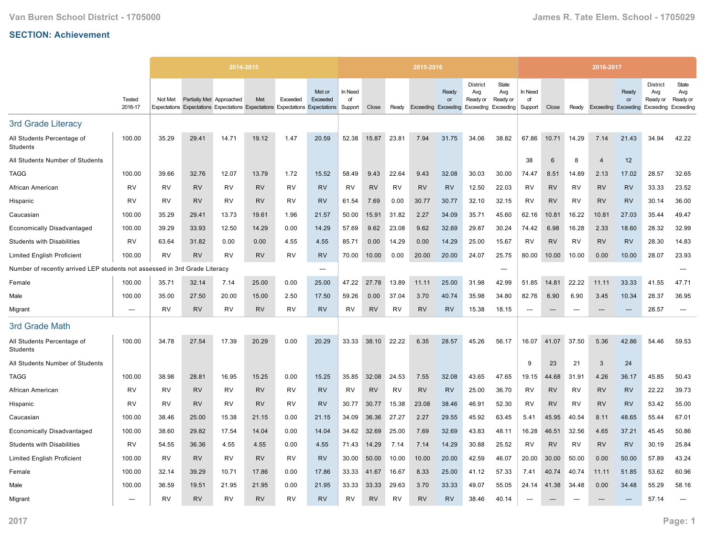|                                                                            |                          |           |                          | 2014-2015                                                                     |           |           |                    |                          |           |           | 2015-2016 |                                           |                                                                  |                          |                          |           |           | 2016-2017                  |             |                                                 |                                       |
|----------------------------------------------------------------------------|--------------------------|-----------|--------------------------|-------------------------------------------------------------------------------|-----------|-----------|--------------------|--------------------------|-----------|-----------|-----------|-------------------------------------------|------------------------------------------------------------------|--------------------------|--------------------------|-----------|-----------|----------------------------|-------------|-------------------------------------------------|---------------------------------------|
|                                                                            | Tested<br>2016-17        | Not Met   | Partially Met Approached | Expectations Expectations Expectations Expectations Expectations Expectations | Met       | Exceeded  | Met or<br>Exceeded | In Need<br>of<br>Support | Close     | Ready     |           | Ready<br>or<br><b>Exceeding Exceeding</b> | <b>District</b><br>Avg<br>Ready or<br><b>Exceeding Exceeding</b> | State<br>Avg<br>Ready or | In Need<br>of<br>Support | Close     | Ready     | <b>Exceeding Exceeding</b> | Ready<br>or | <b>District</b><br>Avg<br>Ready or<br>Exceeding | State<br>Avg<br>Ready or<br>Exceeding |
| 3rd Grade Literacy                                                         |                          |           |                          |                                                                               |           |           |                    |                          |           |           |           |                                           |                                                                  |                          |                          |           |           |                            |             |                                                 |                                       |
| All Students Percentage of<br>Students                                     | 100.00                   | 35.29     | 29.41                    | 14.71                                                                         | 19.12     | 1.47      | 20.59              | 52.38                    | 15.87     | 23.81     | 7.94      | 31.75                                     | 34.06                                                            | 38.82                    | 67.86                    | 10.71     | 14.29     | 7.14                       | 21.43       | 34.94                                           | 42.22                                 |
| All Students Number of Students                                            |                          |           |                          |                                                                               |           |           |                    |                          |           |           |           |                                           |                                                                  |                          | 38                       | 6         | 8         | $\overline{4}$             | 12          |                                                 |                                       |
| <b>TAGG</b>                                                                | 100.00                   | 39.66     | 32.76                    | 12.07                                                                         | 13.79     | 1.72      | 15.52              | 58.49                    | 9.43      | 22.64     | 9.43      | 32.08                                     | 30.03                                                            | 30.00                    | 74.47                    | 8.51      | 14.89     | 2.13                       | 17.02       | 28.57                                           | 32.65                                 |
| African American                                                           | <b>RV</b>                | <b>RV</b> | <b>RV</b>                | <b>RV</b>                                                                     | <b>RV</b> | <b>RV</b> | <b>RV</b>          | <b>RV</b>                | <b>RV</b> | RV        | <b>RV</b> | <b>RV</b>                                 | 12.50                                                            | 22.03                    | RV                       | <b>RV</b> | RV        | <b>RV</b>                  | <b>RV</b>   | 33.33                                           | 23.52                                 |
| Hispanic                                                                   | RV                       | RV        | <b>RV</b>                | <b>RV</b>                                                                     | <b>RV</b> | RV        | <b>RV</b>          | 61.54                    | 7.69      | 0.00      | 30.77     | 30.77                                     | 32.10                                                            | 32.15                    | RV                       | <b>RV</b> | RV        | <b>RV</b>                  | <b>RV</b>   | 30.14                                           | 36.00                                 |
| Caucasian                                                                  | 100.00                   | 35.29     | 29.41                    | 13.73                                                                         | 19.61     | 1.96      | 21.57              | 50.00                    | 15.91     | 31.82     | 2.27      | 34.09                                     | 35.71                                                            | 45.60                    | 62.16                    | 10.81     | 16.22     | 10.81                      | 27.03       | 35.44                                           | 49.47                                 |
| <b>Economically Disadvantaged</b>                                          | 100.00                   | 39.29     | 33.93                    | 12.50                                                                         | 14.29     | 0.00      | 14.29              | 57.69                    | 9.62      | 23.08     | 9.62      | 32.69                                     | 29.87                                                            | 30.24                    | 74.42                    | 6.98      | 16.28     | 2.33                       | 18.60       | 28.32                                           | 32.99                                 |
| <b>Students with Disabilities</b>                                          | <b>RV</b>                | 63.64     | 31.82                    | 0.00                                                                          | 0.00      | 4.55      | 4.55               | 85.71                    | 0.00      | 14.29     | 0.00      | 14.29                                     | 25.00                                                            | 15.67                    | <b>RV</b>                | <b>RV</b> | <b>RV</b> | <b>RV</b>                  | <b>RV</b>   | 28.30                                           | 14.83                                 |
| <b>Limited English Proficient</b>                                          | 100.00                   | RV        | <b>RV</b>                | RV                                                                            | <b>RV</b> | RV        | <b>RV</b>          | 70.00                    | 10.00     | 0.00      | 20.00     | 20.00                                     | 24.07                                                            | 25.75                    | 80.00                    | 10.00     | 10.00     | 0.00                       | 10.00       | 28.07                                           | 23.93                                 |
| Number of recently arrived LEP students not assessed in 3rd Grade Literacy |                          |           |                          |                                                                               |           |           | ---                |                          |           |           |           |                                           |                                                                  | ---                      |                          |           |           |                            |             |                                                 |                                       |
| Female                                                                     | 100.00                   | 35.71     | 32.14                    | 7.14                                                                          | 25.00     | 0.00      | 25.00              | 47.22                    | 27.78     | 13.89     | 11.11     | 25.00                                     | 31.98                                                            | 42.99                    | 51.85                    | 14.81     | 22.22     | 11.11                      | 33.33       | 41.55                                           | 47.71                                 |
| Male                                                                       | 100.00                   | 35.00     | 27.50                    | 20.00                                                                         | 15.00     | 2.50      | 17.50              | 59.26                    | 0.00      | 37.04     | 3.70      | 40.74                                     | 35.98                                                            | 34.80                    | 82.76                    | 6.90      | 6.90      | 3.45                       | 10.34       | 28.37                                           | 36.95                                 |
| Migrant                                                                    | ---                      | <b>RV</b> | <b>RV</b>                | <b>RV</b>                                                                     | <b>RV</b> | RV        | <b>RV</b>          | <b>RV</b>                | <b>RV</b> | RV        | <b>RV</b> | <b>RV</b>                                 | 15.38                                                            | 18.15                    | $\overline{\phantom{a}}$ | ---       |           |                            | $---$       | 28.57                                           | $---$                                 |
| 3rd Grade Math                                                             |                          |           |                          |                                                                               |           |           |                    |                          |           |           |           |                                           |                                                                  |                          |                          |           |           |                            |             |                                                 |                                       |
| All Students Percentage of<br>Students                                     | 100.00                   | 34.78     | 27.54                    | 17.39                                                                         | 20.29     | 0.00      | 20.29              | 33.33                    | 38.10     | 22.22     | 6.35      | 28.57                                     | 45.26                                                            | 56.17                    | 16.07                    | 41.07     | 37.50     | 5.36                       | 42.86       | 54.46                                           | 59.53                                 |
| All Students Number of Students                                            |                          |           |                          |                                                                               |           |           |                    |                          |           |           |           |                                           |                                                                  |                          | 9                        | 23        | 21        | 3                          | 24          |                                                 |                                       |
| <b>TAGG</b>                                                                | 100.00                   | 38.98     | 28.81                    | 16.95                                                                         | 15.25     | 0.00      | 15.25              | 35.85                    | 32.08     | 24.53     | 7.55      | 32.08                                     | 43.65                                                            | 47.65                    | 19.15                    | 44.68     | 31.91     | 4.26                       | 36.17       | 45.85                                           | 50.43                                 |
| African American                                                           | <b>RV</b>                | <b>RV</b> | <b>RV</b>                | <b>RV</b>                                                                     | <b>RV</b> | <b>RV</b> | <b>RV</b>          | <b>RV</b>                | <b>RV</b> | <b>RV</b> | <b>RV</b> | <b>RV</b>                                 | 25.00                                                            | 36.70                    | RV                       | <b>RV</b> | <b>RV</b> | <b>RV</b>                  | <b>RV</b>   | 22.22                                           | 39.73                                 |
| Hispanic                                                                   | <b>RV</b>                | <b>RV</b> | <b>RV</b>                | <b>RV</b>                                                                     | <b>RV</b> | <b>RV</b> | <b>RV</b>          | 30.77                    | 30.77     | 15.38     | 23.08     | 38.46                                     | 46.91                                                            | 52.30                    | RV                       | <b>RV</b> | <b>RV</b> | <b>RV</b>                  | <b>RV</b>   | 53.42                                           | 55.00                                 |
| Caucasian                                                                  | 100.00                   | 38.46     | 25.00                    | 15.38                                                                         | 21.15     | 0.00      | 21.15              | 34.09                    | 36.36     | 27.27     | 2.27      | 29.55                                     | 45.92                                                            | 63.45                    | 5.41                     | 45.95     | 40.54     | 8.11                       | 48.65       | 55.44                                           | 67.01                                 |
| <b>Economically Disadvantaged</b>                                          | 100.00                   | 38.60     | 29.82                    | 17.54                                                                         | 14.04     | 0.00      | 14.04              | 34.62                    | 32.69     | 25.00     | 7.69      | 32.69                                     | 43.83                                                            | 48.11                    | 16.28                    | 46.51     | 32.56     | 4.65                       | 37.21       | 45.45                                           | 50.86                                 |
| <b>Students with Disabilities</b>                                          | <b>RV</b>                | 54.55     | 36.36                    | 4.55                                                                          | 4.55      | 0.00      | 4.55               | 71.43                    | 14.29     | 7.14      | 7.14      | 14.29                                     | 30.88                                                            | 25.52                    | <b>RV</b>                | <b>RV</b> | <b>RV</b> | <b>RV</b>                  | <b>RV</b>   | 30.19                                           | 25.84                                 |
| <b>Limited English Proficient</b>                                          | 100.00                   | RV        | <b>RV</b>                | <b>RV</b>                                                                     | <b>RV</b> | <b>RV</b> | <b>RV</b>          | 30.00                    | 50.00     | 10.00     | 10.00     | 20.00                                     | 42.59                                                            | 46.07                    | 20.00                    | 30.00     | 50.00     | 0.00                       | 50.00       | 57.89                                           | 43.24                                 |
| Female                                                                     | 100.00                   | 32.14     | 39.29                    | 10.71                                                                         | 17.86     | 0.00      | 17.86              | 33.33                    | 41.67     | 16.67     | 8.33      | 25.00                                     | 41.12                                                            | 57.33                    | 7.41                     | 40.74     | 40.74     | 11.11                      | 51.85       | 53.62                                           | 60.96                                 |
| Male                                                                       | 100.00                   | 36.59     | 19.51                    | 21.95                                                                         | 21.95     | 0.00      | 21.95              | 33.33                    | 33.33     | 29.63     | 3.70      | 33.33                                     | 49.07                                                            | 55.05                    | 24.14                    | 41.38     | 34.48     | 0.00                       | 34.48       | 55.29                                           | 58.16                                 |
| Migrant                                                                    | $\overline{\phantom{a}}$ | RV        | <b>RV</b>                | <b>RV</b>                                                                     | <b>RV</b> | <b>RV</b> | <b>RV</b>          | RV                       | <b>RV</b> | RV        | <b>RV</b> | <b>RV</b>                                 | 38.46                                                            | 40.14                    | ---                      |           |           |                            | ---         | 57.14                                           | ---                                   |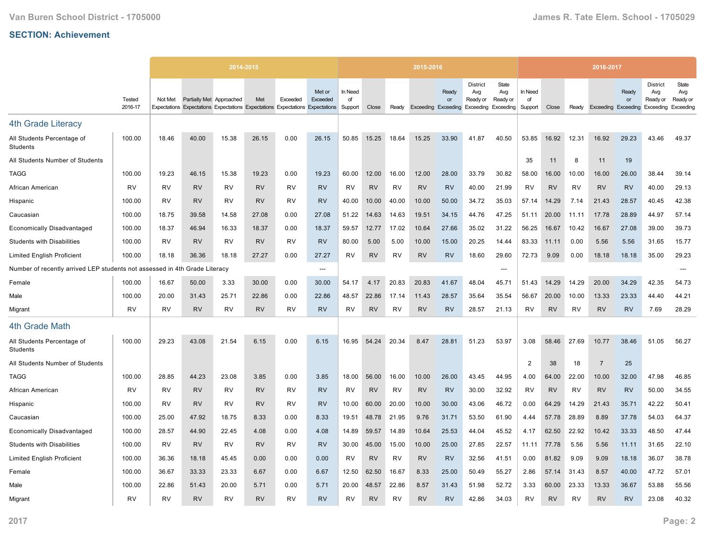|                                                             |                   |           |                          | 2014-2015                                                                     |           |           |                    |                          |           |           | 2015-2016 |             |                                                                               |                          |                          |           |           | 2016-2017                  |             |                                                 |                                       |
|-------------------------------------------------------------|-------------------|-----------|--------------------------|-------------------------------------------------------------------------------|-----------|-----------|--------------------|--------------------------|-----------|-----------|-----------|-------------|-------------------------------------------------------------------------------|--------------------------|--------------------------|-----------|-----------|----------------------------|-------------|-------------------------------------------------|---------------------------------------|
|                                                             | Tested<br>2016-17 | Not Met   | Partially Met Approached | Expectations Expectations Expectations Expectations Expectations Expectations | Met       | Exceeded  | Met or<br>Exceeded | In Need<br>of<br>Support | Close     | Ready     |           | Ready<br>or | <b>District</b><br>Avg<br>Ready or<br>Exceeding Exceeding Exceeding Exceeding | State<br>Avg<br>Ready or | In Need<br>of<br>Support | Close     | Ready     | <b>Exceeding Exceeding</b> | Ready<br>or | <b>District</b><br>Avg<br>Ready or<br>Exceeding | State<br>Avg<br>Ready or<br>Exceeding |
| <b>4th Grade Literacy</b>                                   |                   |           |                          |                                                                               |           |           |                    |                          |           |           |           |             |                                                                               |                          |                          |           |           |                            |             |                                                 |                                       |
| All Students Percentage of<br>Students                      | 100.00            | 18.46     | 40.00                    | 15.38                                                                         | 26.15     | 0.00      | 26.15              | 50.85                    | 15.25     | 18.64     | 15.25     | 33.90       | 41.87                                                                         | 40.50                    | 53.85                    | 16.92     | 12.31     | 16.92                      | 29.23       | 43.46                                           | 49.37                                 |
| All Students Number of Students                             |                   |           |                          |                                                                               |           |           |                    |                          |           |           |           |             |                                                                               |                          | 35                       | 11        | 8         | 11                         | 19          |                                                 |                                       |
| <b>TAGG</b>                                                 | 100.00            | 19.23     | 46.15                    | 15.38                                                                         | 19.23     | 0.00      | 19.23              | 60.00                    | 12.00     | 16.00     | 12.00     | 28.00       | 33.79                                                                         | 30.82                    | 58.00                    | 16.00     | 10.00     | 16.00                      | 26.00       | 38.44                                           | 39.14                                 |
| African American                                            | <b>RV</b>         | <b>RV</b> | <b>RV</b>                | RV                                                                            | <b>RV</b> | <b>RV</b> | <b>RV</b>          | <b>RV</b>                | <b>RV</b> | <b>RV</b> | <b>RV</b> | <b>RV</b>   | 40.00                                                                         | 21.99                    | <b>RV</b>                | <b>RV</b> | <b>RV</b> | <b>RV</b>                  | <b>RV</b>   | 40.00                                           | 29.13                                 |
| Hispanic                                                    | 100.00            | RV        | <b>RV</b>                | RV                                                                            | <b>RV</b> | RV        | <b>RV</b>          | 40.00                    | 10.00     | 40.00     | 10.00     | 50.00       | 34.72                                                                         | 35.03                    | 57.14                    | 14.29     | 7.14      | 21.43                      | 28.57       | 40.45                                           | 42.38                                 |
| Caucasian                                                   | 100.00            | 18.75     | 39.58                    | 14.58                                                                         | 27.08     | 0.00      | 27.08              | 51.22                    | 14.63     | 14.63     | 19.51     | 34.15       | 44.76                                                                         | 47.25                    | 51.11                    | 20.00     | 11.11     | 17.78                      | 28.89       | 44.97                                           | 57.14                                 |
| <b>Economically Disadvantaged</b>                           | 100.00            | 18.37     | 46.94                    | 16.33                                                                         | 18.37     | 0.00      | 18.37              | 59.57                    | 12.77     | 17.02     | 10.64     | 27.66       | 35.02                                                                         | 31.22                    | 56.25                    | 16.67     | 10.42     | 16.67                      | 27.08       | 39.00                                           | 39.73                                 |
| <b>Students with Disabilities</b>                           | 100.00            | RV        | <b>RV</b>                | RV                                                                            | <b>RV</b> | RV        | <b>RV</b>          | 80.00                    | 5.00      | 5.00      | 10.00     | 15.00       | 20.25                                                                         | 14.44                    | 83.33                    | 11.11     | 0.00      | 5.56                       | 5.56        | 31.65                                           | 15.77                                 |
| <b>Limited English Proficient</b>                           | 100.00            | 18.18     | 36.36                    | 18.18                                                                         | 27.27     | 0.00      | 27.27              | <b>RV</b>                | <b>RV</b> | <b>RV</b> | <b>RV</b> | <b>RV</b>   | 18.60                                                                         | 29.60                    | 72.73                    | 9.09      | 0.00      | 18.18                      | 18.18       | 35.00                                           | 29.23                                 |
| Number of recently arrived LEP students not assessed in 4th |                   |           | Grade Literacy           |                                                                               |           |           | ---                |                          |           |           |           |             |                                                                               | ---                      |                          |           |           |                            |             |                                                 | ---                                   |
| Female                                                      | 100.00            | 16.67     | 50.00                    | 3.33                                                                          | 30.00     | 0.00      | 30.00              | 54.17                    | 4.17      | 20.83     | 20.83     | 41.67       | 48.04                                                                         | 45.71                    | 51.43                    | 14.29     | 14.29     | 20.00                      | 34.29       | 42.35                                           | 54.73                                 |
| Male                                                        | 100.00            | 20.00     | 31.43                    | 25.71                                                                         | 22.86     | 0.00      | 22.86              | 48.57                    | 22.86     | 17.14     | 11.43     | 28.57       | 35.64                                                                         | 35.54                    | 56.67                    | 20.00     | 10.00     | 13.33                      | 23.33       | 44.40                                           | 44.21                                 |
| Migrant                                                     | <b>RV</b>         | RV        | <b>RV</b>                | RV                                                                            | <b>RV</b> | RV        | <b>RV</b>          | RV                       | <b>RV</b> | RV        | <b>RV</b> | <b>RV</b>   | 28.57                                                                         | 21.13                    | <b>RV</b>                | <b>RV</b> | <b>RV</b> | <b>RV</b>                  | <b>RV</b>   | 7.69                                            | 28.29                                 |
| 4th Grade Math                                              |                   |           |                          |                                                                               |           |           |                    |                          |           |           |           |             |                                                                               |                          |                          |           |           |                            |             |                                                 |                                       |
| All Students Percentage of<br><b>Students</b>               | 100.00            | 29.23     | 43.08                    | 21.54                                                                         | 6.15      | 0.00      | 6.15               | 16.95                    | 54.24     | 20.34     | 8.47      | 28.81       | 51.23                                                                         | 53.97                    | 3.08                     | 58.46     | 27.69     | 10.77                      | 38.46       | 51.05                                           | 56.27                                 |
| All Students Number of Students                             |                   |           |                          |                                                                               |           |           |                    |                          |           |           |           |             |                                                                               |                          | $\overline{2}$           | 38        | 18        | $\overline{7}$             | 25          |                                                 |                                       |
| TAGG                                                        | 100.00            | 28.85     | 44.23                    | 23.08                                                                         | 3.85      | 0.00      | 3.85               | 18.00                    | 56.00     | 16.00     | 10.00     | 26.00       | 43.45                                                                         | 44.95                    | 4.00                     | 64.00     | 22.00     | 10.00                      | 32.00       | 47.98                                           | 46.85                                 |
| African American                                            | <b>RV</b>         | <b>RV</b> | <b>RV</b>                | <b>RV</b>                                                                     | <b>RV</b> | <b>RV</b> | <b>RV</b>          | <b>RV</b>                | <b>RV</b> | <b>RV</b> | <b>RV</b> | <b>RV</b>   | 30.00                                                                         | 32.92                    | <b>RV</b>                | <b>RV</b> | <b>RV</b> | <b>RV</b>                  | <b>RV</b>   | 50.00                                           | 34.55                                 |
| Hispanic                                                    | 100.00            | RV        | <b>RV</b>                | <b>RV</b>                                                                     | <b>RV</b> | RV        | <b>RV</b>          | 10.00                    | 60.00     | 20.00     | 10.00     | 30.00       | 43.06                                                                         | 46.72                    | 0.00                     | 64.29     | 14.29     | 21.43                      | 35.71       | 42.22                                           | 50.41                                 |
| Caucasian                                                   | 100.00            | 25.00     | 47.92                    | 18.75                                                                         | 8.33      | 0.00      | 8.33               | 19.51                    | 48.78     | 21.95     | 9.76      | 31.71       | 53.50                                                                         | 61.90                    | 4.44                     | 57.78     | 28.89     | 8.89                       | 37.78       | 54.03                                           | 64.37                                 |
| <b>Economically Disadvantaged</b>                           | 100.00            | 28.57     | 44.90                    | 22.45                                                                         | 4.08      | 0.00      | 4.08               | 14.89                    | 59.57     | 14.89     | 10.64     | 25.53       | 44.04                                                                         | 45.52                    | 4.17                     | 62.50     | 22.92     | 10.42                      | 33.33       | 48.50                                           | 47.44                                 |
| <b>Students with Disabilities</b>                           | 100.00            | <b>RV</b> | <b>RV</b>                | <b>RV</b>                                                                     | <b>RV</b> | <b>RV</b> | <b>RV</b>          | 30.00                    | 45.00     | 15.00     | 10.00     | 25.00       | 27.85                                                                         | 22.57                    | 11.11                    | 77.78     | 5.56      | 5.56                       | 11.11       | 31.65                                           | 22.10                                 |
| <b>Limited English Proficient</b>                           | 100.00            | 36.36     | 18.18                    | 45.45                                                                         | 0.00      | 0.00      | 0.00               | RV                       | <b>RV</b> | RV        | <b>RV</b> | <b>RV</b>   | 32.56                                                                         | 41.51                    | 0.00                     | 81.82     | 9.09      | 9.09                       | 18.18       | 36.07                                           | 38.78                                 |
| Female                                                      | 100.00            | 36.67     | 33.33                    | 23.33                                                                         | 6.67      | 0.00      | 6.67               | 12.50                    | 62.50     | 16.67     | 8.33      | 25.00       | 50.49                                                                         | 55.27                    | 2.86                     | 57.14     | 31.43     | 8.57                       | 40.00       | 47.72                                           | 57.01                                 |
| Male                                                        | 100.00            | 22.86     | 51.43                    | 20.00                                                                         | 5.71      | 0.00      | 5.71               | 20.00                    | 48.57     | 22.86     | 8.57      | 31.43       | 51.98                                                                         | 52.72                    | 3.33                     | 60.00     | 23.33     | 13.33                      | 36.67       | 53.88                                           | 55.56                                 |
| Migrant                                                     | <b>RV</b>         | RV        | <b>RV</b>                | RV                                                                            | <b>RV</b> | <b>RV</b> | <b>RV</b>          | RV                       | <b>RV</b> | RV        | <b>RV</b> | <b>RV</b>   | 42.86                                                                         | 34.03                    | <b>RV</b>                | <b>RV</b> | R٧        | <b>RV</b>                  | <b>RV</b>   | 23.08                                           | 40.32                                 |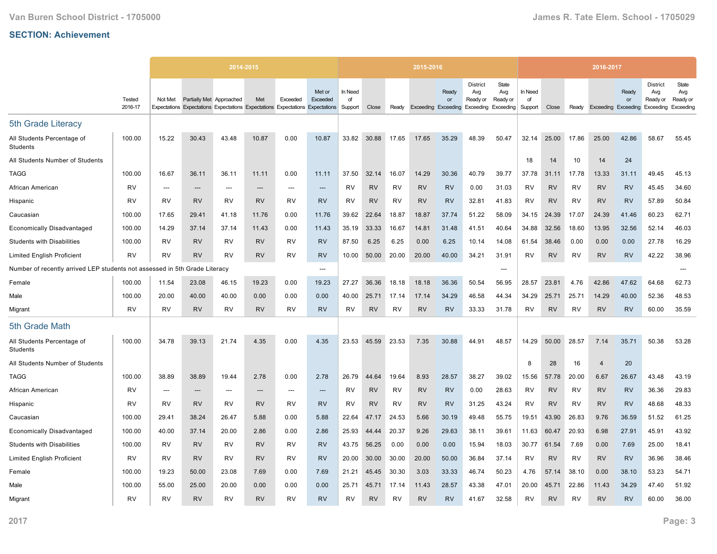|                                                             |                   |                          |                          | 2014-2015 |           |           |                                                                                                     |                          |           |           | 2015-2016 |                                                        |                                    |                          |                          |           |           | 2016-2017                  |             |                                                 |                                       |
|-------------------------------------------------------------|-------------------|--------------------------|--------------------------|-----------|-----------|-----------|-----------------------------------------------------------------------------------------------------|--------------------------|-----------|-----------|-----------|--------------------------------------------------------|------------------------------------|--------------------------|--------------------------|-----------|-----------|----------------------------|-------------|-------------------------------------------------|---------------------------------------|
|                                                             | Tested<br>2016-17 | Not Met                  | Partially Met Approached |           | Met       | Exceeded  | Met or<br>Exceeded<br>Expectations Expectations Expectations Expectations Expectations Expectations | In Need<br>of<br>Support | Close     | Ready     |           | Ready<br>or<br>Exceeding Exceeding Exceeding Exceeding | <b>District</b><br>Avg<br>Ready or | State<br>Avg<br>Ready or | In Need<br>of<br>Support | Close     | Ready     | <b>Exceeding Exceeding</b> | Ready<br>or | <b>District</b><br>Avg<br>Ready or<br>Exceeding | State<br>Avg<br>Ready or<br>Exceeding |
| 5th Grade Literacy                                          |                   |                          |                          |           |           |           |                                                                                                     |                          |           |           |           |                                                        |                                    |                          |                          |           |           |                            |             |                                                 |                                       |
| All Students Percentage of<br>Students                      | 100.00            | 15.22                    | 30.43                    | 43.48     | 10.87     | 0.00      | 10.87                                                                                               | 33.82                    | 30.88     | 17.65     | 17.65     | 35.29                                                  | 48.39                              | 50.47                    | 32.14                    | 25.00     | 17.86     | 25.00                      | 42.86       | 58.67                                           | 55.45                                 |
| All Students Number of Students                             |                   |                          |                          |           |           |           |                                                                                                     |                          |           |           |           |                                                        |                                    |                          | 18                       | 14        | 10        | 14                         | 24          |                                                 |                                       |
| <b>TAGG</b>                                                 | 100.00            | 16.67                    | 36.11                    | 36.11     | 11.11     | 0.00      | 11.11                                                                                               | 37.50                    | 32.14     | 16.07     | 14.29     | 30.36                                                  | 40.79                              | 39.77                    | 37.78                    | 31.11     | 17.78     | 13.33                      | 31.11       | 49.45                                           | 45.13                                 |
| African American                                            | <b>RV</b>         | $\overline{\phantom{a}}$ | ---                      | ---       | $---$     | $---$     | $---$                                                                                               | RV                       | <b>RV</b> | RV        | <b>RV</b> | <b>RV</b>                                              | 0.00                               | 31.03                    | <b>RV</b>                | <b>RV</b> | <b>RV</b> | <b>RV</b>                  | <b>RV</b>   | 45.45                                           | 34.60                                 |
| Hispanic                                                    | <b>RV</b>         | RV                       | <b>RV</b>                | <b>RV</b> | <b>RV</b> | RV        | <b>RV</b>                                                                                           | RV                       | <b>RV</b> | RV        | RV        | <b>RV</b>                                              | 32.81                              | 41.83                    | <b>RV</b>                | <b>RV</b> | RV        | <b>RV</b>                  | <b>RV</b>   | 57.89                                           | 50.84                                 |
| Caucasian                                                   | 100.00            | 17.65                    | 29.41                    | 41.18     | 11.76     | 0.00      | 11.76                                                                                               | 39.62                    | 22.64     | 18.87     | 18.87     | 37.74                                                  | 51.22                              | 58.09                    | 34.15                    | 24.39     | 17.07     | 24.39                      | 41.46       | 60.23                                           | 62.71                                 |
| <b>Economically Disadvantaged</b>                           | 100.00            | 14.29                    | 37.14                    | 37.14     | 11.43     | 0.00      | 11.43                                                                                               | 35.19                    | 33.33     | 16.67     | 14.81     | 31.48                                                  | 41.51                              | 40.64                    | 34.88                    | 32.56     | 18.60     | 13.95                      | 32.56       | 52.14                                           | 46.03                                 |
| <b>Students with Disabilities</b>                           | 100.00            | RV                       | <b>RV</b>                | RV        | <b>RV</b> | <b>RV</b> | <b>RV</b>                                                                                           | 87.50                    | 6.25      | 6.25      | 0.00      | 6.25                                                   | 10.14                              | 14.08                    | 61.54                    | 38.46     | 0.00      | 0.00                       | 0.00        | 27.78                                           | 16.29                                 |
| <b>Limited English Proficient</b>                           | <b>RV</b>         | <b>RV</b>                | <b>RV</b>                | <b>RV</b> | <b>RV</b> | RV        | <b>RV</b>                                                                                           | 10.00                    | 50.00     | 20.00     | 20.00     | 40.00                                                  | 34.21                              | 31.91                    | RV                       | <b>RV</b> | <b>RV</b> | <b>RV</b>                  | <b>RV</b>   | 42.22                                           | 38.96                                 |
| Number of recently arrived LEP students not assessed in 5th |                   |                          | Grade Literacy           |           |           |           | $---$                                                                                               |                          |           |           |           |                                                        |                                    | ---                      |                          |           |           |                            |             |                                                 |                                       |
| Female                                                      | 100.00            | 11.54                    | 23.08                    | 46.15     | 19.23     | 0.00      | 19.23                                                                                               | 27.27                    | 36.36     | 18.18     | 18.18     | 36.36                                                  | 50.54                              | 56.95                    | 28.57                    | 23.81     | 4.76      | 42.86                      | 47.62       | 64.68                                           | 62.73                                 |
| Male                                                        | 100.00            | 20.00                    | 40.00                    | 40.00     | 0.00      | 0.00      | 0.00                                                                                                | 40.00                    | 25.71     | 17.14     | 17.14     | 34.29                                                  | 46.58                              | 44.34                    | 34.29                    | 25.71     | 25.71     | 14.29                      | 40.00       | 52.36                                           | 48.53                                 |
| Migrant                                                     | <b>RV</b>         | <b>RV</b>                | <b>RV</b>                | <b>RV</b> | <b>RV</b> | RV        | <b>RV</b>                                                                                           | RV                       | <b>RV</b> | RV        | <b>RV</b> | <b>RV</b>                                              | 33.33                              | 31.78                    | RV                       | <b>RV</b> | RV        | <b>RV</b>                  | <b>RV</b>   | 60.00                                           | 35.59                                 |
| 5th Grade Math                                              |                   |                          |                          |           |           |           |                                                                                                     |                          |           |           |           |                                                        |                                    |                          |                          |           |           |                            |             |                                                 |                                       |
| All Students Percentage of<br>Students                      | 100.00            | 34.78                    | 39.13                    | 21.74     | 4.35      | 0.00      | 4.35                                                                                                | 23.53                    | 45.59     | 23.53     | 7.35      | 30.88                                                  | 44.91                              | 48.57                    | 14.29                    | 50.00     | 28.57     | 7.14                       | 35.71       | 50.38                                           | 53.28                                 |
| All Students Number of Students                             |                   |                          |                          |           |           |           |                                                                                                     |                          |           |           |           |                                                        |                                    |                          | 8                        | 28        | 16        | $\overline{4}$             | 20          |                                                 |                                       |
| TAGG                                                        | 100.00            | 38.89                    | 38.89                    | 19.44     | 2.78      | 0.00      | 2.78                                                                                                | 26.79                    | 44.64     | 19.64     | 8.93      | 28.57                                                  | 38.27                              | 39.02                    | 15.56                    | 57.78     | 20.00     | 6.67                       | 26.67       | 43.48                                           | 43.19                                 |
| African American                                            | <b>RV</b>         | ---                      | ---                      | ---       | ---       | ---       | ---                                                                                                 | <b>RV</b>                | <b>RV</b> | <b>RV</b> | <b>RV</b> | <b>RV</b>                                              | 0.00                               | 28.63                    | RV                       | <b>RV</b> | <b>RV</b> | <b>RV</b>                  | <b>RV</b>   | 36.36                                           | 29.83                                 |
| Hispanic                                                    | <b>RV</b>         | RV                       | <b>RV</b>                | <b>RV</b> | <b>RV</b> | <b>RV</b> | <b>RV</b>                                                                                           | RV                       | <b>RV</b> | <b>RV</b> | <b>RV</b> | <b>RV</b>                                              | 31.25                              | 43.24                    | <b>RV</b>                | <b>RV</b> | <b>RV</b> | <b>RV</b>                  | <b>RV</b>   | 48.68                                           | 48.33                                 |
| Caucasian                                                   | 100.00            | 29.41                    | 38.24                    | 26.47     | 5.88      | 0.00      | 5.88                                                                                                | 22.64                    | 47.17     | 24.53     | 5.66      | 30.19                                                  | 49.48                              | 55.75                    | 19.51                    | 43.90     | 26.83     | 9.76                       | 36.59       | 51.52                                           | 61.25                                 |
| <b>Economically Disadvantaged</b>                           | 100.00            | 40.00                    | 37.14                    | 20.00     | 2.86      | 0.00      | 2.86                                                                                                | 25.93                    | 44.44     | 20.37     | 9.26      | 29.63                                                  | 38.11                              | 39.61                    | 11.63                    | 60.47     | 20.93     | 6.98                       | 27.91       | 45.91                                           | 43.92                                 |
| <b>Students with Disabilities</b>                           | 100.00            | <b>RV</b>                | <b>RV</b>                | <b>RV</b> | <b>RV</b> | <b>RV</b> | <b>RV</b>                                                                                           | 43.75                    | 56.25     | 0.00      | 0.00      | 0.00                                                   | 15.94                              | 18.03                    | 30.77                    | 61.54     | 7.69      | 0.00                       | 7.69        | 25.00                                           | 18.41                                 |
| <b>Limited English Proficient</b>                           | RV                | RV                       | <b>RV</b>                | RV        | <b>RV</b> | <b>RV</b> | <b>RV</b>                                                                                           | 20.00                    | 30.00     | 30.00     | 20.00     | 50.00                                                  | 36.84                              | 37.14                    | RV                       | <b>RV</b> | <b>RV</b> | <b>RV</b>                  | <b>RV</b>   | 36.96                                           | 38.46                                 |
| Female                                                      | 100.00            | 19.23                    | 50.00                    | 23.08     | 7.69      | 0.00      | 7.69                                                                                                | 21.21                    | 45.45     | 30.30     | 3.03      | 33.33                                                  | 46.74                              | 50.23                    | 4.76                     | 57.14     | 38.10     | 0.00                       | 38.10       | 53.23                                           | 54.71                                 |
| Male                                                        | 100.00            | 55.00                    | 25.00                    | 20.00     | 0.00      | 0.00      | 0.00                                                                                                | 25.71                    | 45.71     | 17.14     | 11.43     | 28.57                                                  | 43.38                              | 47.01                    | 20.00                    | 45.71     | 22.86     | 11.43                      | 34.29       | 47.40                                           | 51.92                                 |
| Migrant                                                     | <b>RV</b>         | RV                       | <b>RV</b>                | RV        | <b>RV</b> | <b>RV</b> | <b>RV</b>                                                                                           | RV                       | <b>RV</b> | RV        | <b>RV</b> | <b>RV</b>                                              | 41.67                              | 32.58                    | RV                       | <b>RV</b> | RV        | <b>RV</b>                  | <b>RV</b>   | 60.00                                           | 36.00                                 |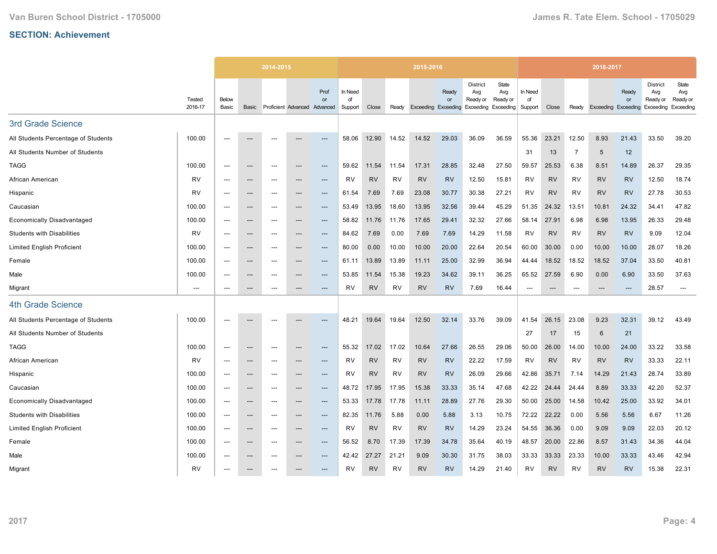|                                     |                          |                |                          | 2014-2015                |                     |                        |                          |           |           | 2015-2016                  |                    |                                                                  |                          |                                   |           |                          | 2016-2017       |                                 |                                                 |                                       |
|-------------------------------------|--------------------------|----------------|--------------------------|--------------------------|---------------------|------------------------|--------------------------|-----------|-----------|----------------------------|--------------------|------------------------------------------------------------------|--------------------------|-----------------------------------|-----------|--------------------------|-----------------|---------------------------------|-------------------------------------------------|---------------------------------------|
|                                     | Tested<br>2016-17        | Below<br>Basic | Basic                    |                          | Proficient Advanced | Prof<br>or<br>Advanced | In Need<br>of<br>Support | Close     | Ready     | <b>Exceeding Exceeding</b> | Ready<br><b>or</b> | <b>District</b><br>Avg<br>Ready or<br><b>Exceeding Exceeding</b> | State<br>Avg<br>Ready or | In Need<br>of<br>Support          | Close     | Ready                    | Exceeding       | Ready<br><b>or</b><br>Exceeding | <b>District</b><br>Avg<br>Ready or<br>Exceeding | State<br>Avg<br>Ready or<br>Exceeding |
| 3rd Grade Science                   |                          |                |                          |                          |                     |                        |                          |           |           |                            |                    |                                                                  |                          |                                   |           |                          |                 |                                 |                                                 |                                       |
| All Students Percentage of Students | 100.00                   | $---$          |                          | ---                      |                     | ---                    | 58.06                    | 12.90     | 14.52     | 14.52                      | 29.03              | 36.09                                                            | 36.59                    | 55.36                             | 23.21     | 12.50                    | 8.93            | 21.43                           | 33.50                                           | 39.20                                 |
| All Students Number of Students     |                          |                |                          |                          |                     |                        |                          |           |           |                            |                    |                                                                  |                          | 31                                | 13        | $\overline{7}$           | $5\phantom{.0}$ | 12                              |                                                 |                                       |
| <b>TAGG</b>                         | 100.00                   | $---$          | $---$                    | $---$                    | $---$               | $\qquad \qquad \cdots$ | 59.62                    | 11.54     | 11.54     | 17.31                      | 28.85              | 32.48                                                            | 27.50                    | 59.57                             | 25.53     | 6.38                     | 8.51            | 14.89                           | 26.37                                           | 29.35                                 |
| African American                    | RV                       | $---$          | $\hspace{0.05cm} \ldots$ | ---                      | ---                 | ---                    | <b>RV</b>                | <b>RV</b> | RV        | <b>RV</b>                  | <b>RV</b>          | 12.50                                                            | 15.81                    | <b>RV</b>                         | <b>RV</b> | <b>RV</b>                | <b>RV</b>       | <b>RV</b>                       | 12.50                                           | 18.74                                 |
| Hispanic                            | <b>RV</b>                |                | ---                      | ---                      | ---                 | ---                    | 61.54                    | 7.69      | 7.69      | 23.08                      | 30.77              | 30.38                                                            | 27.21                    | <b>RV</b>                         | <b>RV</b> | <b>RV</b>                | <b>RV</b>       | <b>RV</b>                       | 27.78                                           | 30.53                                 |
| Caucasian                           | 100.00                   | $---$          | $\hspace{0.05cm} \ldots$ | ---                      | ---                 | $---$                  | 53.49                    | 13.95     | 18.60     | 13.95                      | 32.56              | 39.44                                                            | 45.29                    | 51.35                             | 24.32     | 13.51                    | 10.81           | 24.32                           | 34.41                                           | 47.82                                 |
| <b>Economically Disadvantaged</b>   | 100.00                   | $---$          | $\hspace{0.05cm} \cdots$ | $---$                    | ---                 | $\qquad \qquad \cdots$ | 58.82                    | 11.76     | 11.76     | 17.65                      | 29.41              | 32.32                                                            | 27.66                    | 58.14                             | 27.91     | 6.98                     | 6.98            | 13.95                           | 26.33                                           | 29.48                                 |
| <b>Students with Disabilities</b>   | <b>RV</b>                | $---$          | ---                      | ---                      | ---                 | ---                    | 84.62                    | 7.69      | 0.00      | 7.69                       | 7.69               | 14.29                                                            | 11.58                    | RV                                | <b>RV</b> | <b>RV</b>                | <b>RV</b>       | <b>RV</b>                       | 9.09                                            | 12.04                                 |
| <b>Limited English Proficient</b>   | 100.00                   | $---$          | $---$                    | ---                      | ---                 | $---$                  | 80.00                    | 0.00      | 10.00     | 10.00                      | 20.00              | 22.64                                                            | 20.54                    | 60.00                             | 30.00     | 0.00                     | 10.00           | 10.00                           | 28.07                                           | 18.26                                 |
| Female                              | 100.00                   |                | ---                      | ---                      |                     | ---                    | 61.11                    | 13.89     | 13.89     | 11.11                      | 25.00              | 32.99                                                            | 36.94                    | 44.44                             | 18.52     | 18.52                    | 18.52           | 37.04                           | 33.50                                           | 40.81                                 |
| Male                                | 100.00                   | $---$          | $\hspace{0.05cm} \ldots$ | $---$                    | ---                 | $---$                  | 53.85                    | 11.54     | 15.38     | 19.23                      | 34.62              | 39.11                                                            | 36.25                    | 65.52                             | 27.59     | 6.90                     | 0.00            | 6.90                            | 33.50                                           | 37.63                                 |
| Migrant                             | $\hspace{0.05cm} \ldots$ | $---$          | $\hspace{0.05cm} \ldots$ | ---                      | ---                 | ---                    | <b>RV</b>                | <b>RV</b> | <b>RV</b> | <b>RV</b>                  | <b>RV</b>          | 7.69                                                             | 16.44                    | $\hspace{0.05cm} \dashrightarrow$ | $---$     | $\overline{\phantom{a}}$ | $---$           | $---$                           | 28.57                                           | $---$                                 |
| <b>4th Grade Science</b>            |                          |                |                          |                          |                     |                        |                          |           |           |                            |                    |                                                                  |                          |                                   |           |                          |                 |                                 |                                                 |                                       |
| All Students Percentage of Students | 100.00                   |                |                          |                          |                     | ---                    | 48.21                    | 19.64     | 19.64     | 12.50                      | 32.14              | 33.76                                                            | 39.09                    | 41.54                             | 26.15     | 23.08                    | 9.23            | 32.31                           | 39.12                                           | 43.49                                 |
| All Students Number of Students     |                          |                |                          |                          |                     |                        |                          |           |           |                            |                    |                                                                  |                          | 27                                | 17        | 15                       | 6               | 21                              |                                                 |                                       |
| <b>TAGG</b>                         | 100.00                   | ---            | $\hspace{0.05cm} \ldots$ | ---                      | ---                 | ---                    | 55.32                    | 17.02     | 17.02     | 10.64                      | 27.66              | 26.55                                                            | 29.06                    | 50.00                             | 26.00     | 14.00                    | 10.00           | 24.00                           | 33.22                                           | 33.58                                 |
| African American                    | RV                       | $---$          | ---                      | ---                      | ---                 | ---                    | RV                       | <b>RV</b> | <b>RV</b> | <b>RV</b>                  | <b>RV</b>          | 22.22                                                            | 17.59                    | RV                                | <b>RV</b> | <b>RV</b>                | <b>RV</b>       | <b>RV</b>                       | 33.33                                           | 22.11                                 |
| Hispanic                            | 100.00                   | $---$          | $---$                    | ---                      | ---                 | $---$                  | RV                       | <b>RV</b> | RV        | <b>RV</b>                  | <b>RV</b>          | 26.09                                                            | 29.66                    | 42.86                             | 35.71     | 7.14                     | 14.29           | 21.43                           | 28.74                                           | 33.89                                 |
| Caucasian                           | 100.00                   | ---            | $\hspace{0.05cm} \cdots$ | ---                      | ---                 | ---                    | 48.72                    | 17.95     | 17.95     | 15.38                      | 33.33              | 35.14                                                            | 47.68                    | 42.22                             | 24.44     | 24.44                    | 8.89            | 33.33                           | 42.20                                           | 52.37                                 |
| <b>Economically Disadvantaged</b>   | 100.00                   | $---$          | $---$                    | $---$                    | ---                 | $---$                  | 53.33                    | 17.78     | 17.78     | 11.11                      | 28.89              | 27.76                                                            | 29.30                    | 50.00                             | 25.00     | 14.58                    | 10.42           | 25.00                           | 33.92                                           | 34.01                                 |
| <b>Students with Disabilities</b>   | 100.00                   | ---            | $\hspace{0.05cm} \ldots$ | $\hspace{0.05cm} \ldots$ | ---                 | $\qquad \qquad \cdots$ | 82.35                    | 11.76     | 5.88      | 0.00                       | 5.88               | 3.13                                                             | 10.75                    | 72.22                             | 22.22     | 0.00                     | 5.56            | 5.56                            | 6.67                                            | 11.26                                 |
| <b>Limited English Proficient</b>   | 100.00                   |                | ---                      | ---                      | ---                 | ---                    | <b>RV</b>                | <b>RV</b> | RV        | <b>RV</b>                  | <b>RV</b>          | 14.29                                                            | 23.24                    | 54.55                             | 36.36     | 0.00                     | 9.09            | 9.09                            | 22.03                                           | 20.12                                 |
| Female                              | 100.00                   | $---$          | $---$                    | $---$                    | ---                 | $---$                  | 56.52                    | 8.70      | 17.39     | 17.39                      | 34.78              | 35.64                                                            | 40.19                    | 48.57                             | 20.00     | 22.86                    | 8.57            | 31.43                           | 34.36                                           | 44.04                                 |
| Male                                | 100.00                   | $---$          | $\hspace{0.05cm} \ldots$ | ---                      | ---                 | $\qquad \qquad \cdots$ | 42.42                    | 27.27     | 21.21     | 9.09                       | 30.30              | 31.75                                                            | 38.03                    | 33.33                             | 33.33     | 23.33                    | 10.00           | 33.33                           | 43.46                                           | 42.94                                 |
| Migrant                             | <b>RV</b>                |                | ---                      |                          |                     |                        | RV                       | <b>RV</b> | <b>RV</b> | <b>RV</b>                  | <b>RV</b>          | 14.29                                                            | 21.40                    | RV                                | <b>RV</b> | <b>RV</b>                | <b>RV</b>       | <b>RV</b>                       | 15.38                                           | 22.31                                 |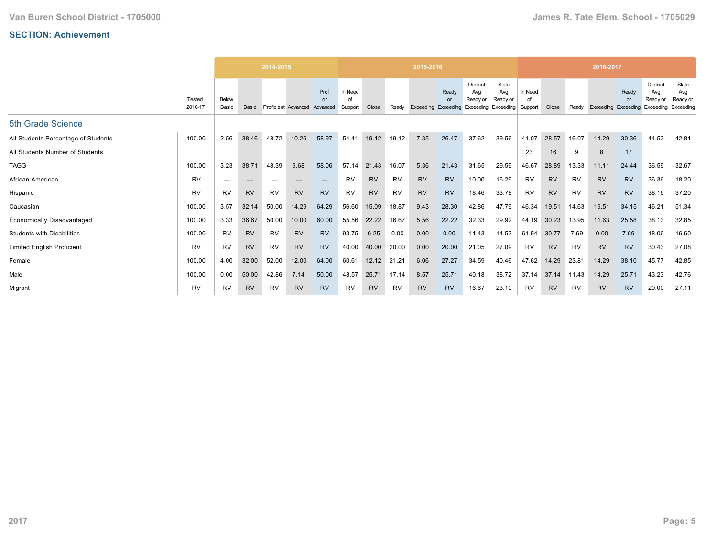|                                     |                   |                |           | 2014-2015 |                     |                        |                    |           |           | 2015-2016           |                                       |                                                                  |                          |                          |           |           | 2016-2017 |                          |                                                 |                                       |
|-------------------------------------|-------------------|----------------|-----------|-----------|---------------------|------------------------|--------------------|-----------|-----------|---------------------|---------------------------------------|------------------------------------------------------------------|--------------------------|--------------------------|-----------|-----------|-----------|--------------------------|-------------------------------------------------|---------------------------------------|
|                                     | Tested<br>2016-17 | Below<br>Basic | Basic     |           | Proficient Advanced | Prof<br>or<br>Advanced | In Need<br>Support | Close     | Ready     | Exceeding Exceeding | <b>Ready</b><br>$\Omega$ <sup>r</sup> | <b>District</b><br>Avg<br>Ready or<br><b>Exceeding Exceeding</b> | State<br>Avg<br>Ready or | In Need<br>of<br>Support | Close     | Ready     | Exceeding | Ready<br>or<br>Exceeding | <b>District</b><br>Avg<br>Ready or<br>Exceeding | State<br>Avg<br>Ready or<br>Exceeding |
| 5th Grade Science                   |                   |                |           |           |                     |                        |                    |           |           |                     |                                       |                                                                  |                          |                          |           |           |           |                          |                                                 |                                       |
| All Students Percentage of Students | 100.00            | 2.56           | 38.46     | 48.72     | 10.26               | 58.97                  | 54.41              | 19.12     | 19.12     | 7.35                | 26.47                                 | 37.62                                                            | 39.56                    | 41.07                    | 28.57     | 16.07     | 14.29     | 30.36                    | 44.53                                           | 42.81                                 |
| All Students Number of Students     |                   |                |           |           |                     |                        |                    |           |           |                     |                                       |                                                                  |                          | 23                       | 16        | 9         | 8         | 17                       |                                                 |                                       |
| <b>TAGG</b>                         | 100.00            | 3.23           | 38.71     | 48.39     | 9.68                | 58.06                  | 57.14              | 21.43     | 16.07     | 5.36                | 21.43                                 | 31.65                                                            | 29.59                    | 46.67                    | 28.89     | 13.33     | 11.11     | 24.44                    | 36.59                                           | 32.67                                 |
| African American                    | <b>RV</b>         | $---$          | ---       | ---       | $---$               | $---$                  | <b>RV</b>          | <b>RV</b> | <b>RV</b> | <b>RV</b>           | <b>RV</b>                             | 10.00                                                            | 16.29                    | <b>RV</b>                | <b>RV</b> | <b>RV</b> | <b>RV</b> | <b>RV</b>                | 36.36                                           | 18.20                                 |
| Hispanic                            | <b>RV</b>         | <b>RV</b>      | <b>RV</b> | RV        | <b>RV</b>           | <b>RV</b>              | <b>RV</b>          | <b>RV</b> | RV        | <b>RV</b>           | <b>RV</b>                             | 18.46                                                            | 33.78                    | RV                       | <b>RV</b> | RV        | <b>RV</b> | <b>RV</b>                | 38.16                                           | 37.20                                 |
| Caucasian                           | 100.00            | 3.57           | 32.14     | 50.00     | 14.29               | 64.29                  | 56.60              | 15.09     | 18.87     | 9.43                | 28.30                                 | 42.86                                                            | 47.79                    | 46.34                    | 19.51     | 14.63     | 19.51     | 34.15                    | 46.21                                           | 51.34                                 |
| <b>Economically Disadvantaged</b>   | 100.00            | 3.33           | 36.67     | 50.00     | 10.00               | 60.00                  | 55.56              | 22.22     | 16.67     | 5.56                | 22.22                                 | 32.33                                                            | 29.92                    | 44.19                    | 30.23     | 13.95     | 11.63     | 25.58                    | 38.13                                           | 32.85                                 |
| <b>Students with Disabilities</b>   | 100.00            | <b>RV</b>      | <b>RV</b> | <b>RV</b> | <b>RV</b>           | <b>RV</b>              | 93.75              | 6.25      | 0.00      | 0.00                | 0.00                                  | 11.43                                                            | 14.53                    | 61.54                    | 30.77     | 7.69      | 0.00      | 7.69                     | 18.06                                           | 16.60                                 |
| <b>Limited English Proficient</b>   | <b>RV</b>         | <b>RV</b>      | <b>RV</b> | RV        | <b>RV</b>           | <b>RV</b>              | 40.00              | 40.00     | 20.00     | 0.00                | 20.00                                 | 21.05                                                            | 27.09                    | RV                       | <b>RV</b> | RV        | <b>RV</b> | <b>RV</b>                | 30.43                                           | 27.08                                 |
| Female                              | 100.00            | 4.00           | 32.00     | 52.00     | 12.00               | 64.00                  | 60.61              | 12.12     | 21.21     | 6.06                | 27.27                                 | 34.59                                                            | 40.46                    | 47.62                    | 14.29     | 23.81     | 14.29     | 38.10                    | 45.77                                           | 42.85                                 |
| Male                                | 100.00            | 0.00           | 50.00     | 42.86     | 7.14                | 50.00                  | 48.57              | 25.71     | 17.14     | 8.57                | 25.71                                 | 40.18                                                            | 38.72                    | 37.14                    | 37.14     | 11.43     | 14.29     | 25.71                    | 43.23                                           | 42.76                                 |
| Migrant                             | <b>RV</b>         | <b>RV</b>      | <b>RV</b> | RV        | <b>RV</b>           | <b>RV</b>              | <b>RV</b>          | <b>RV</b> | <b>RV</b> | <b>RV</b>           | <b>RV</b>                             | 16.67                                                            | 23.19                    | RV                       | <b>RV</b> | RV        | <b>RV</b> | <b>RV</b>                | 20.00                                           | 27.11                                 |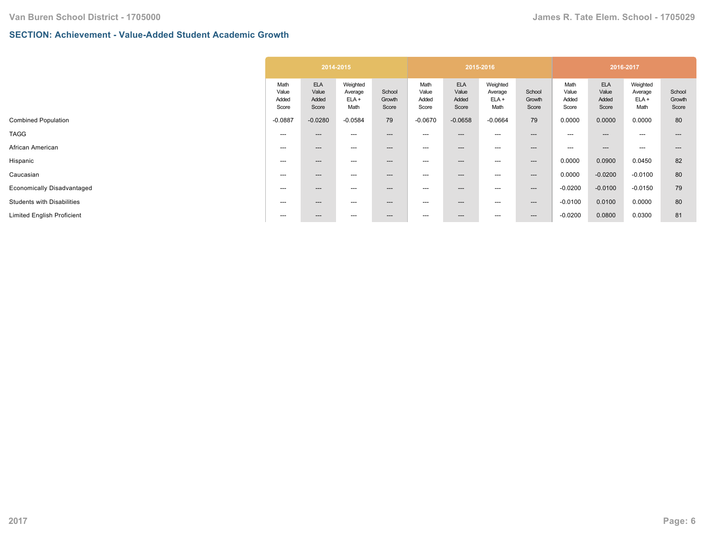## **SECTION: Achievement - Value-Added Student Academic Growth**

| <b>ELA</b><br><b>ELA</b><br><b>ELA</b><br>Weighted<br>Weighted<br>Weighted<br>Math<br>Math<br>Math<br>Value<br>School<br>Value<br>Value<br>Value<br>School<br>Value<br>Value<br>Average<br>Average<br>Average<br>$ELA +$<br>Added<br>$ELA +$<br>Added<br>ELA +<br>Added<br>Growth<br>Added<br>Growth<br>Added<br>Added<br>Math<br>Score<br>Score<br>Math<br>Score<br>Math<br>Score<br>Score<br>Score<br>Score<br>Score<br>79<br>79<br>0.0000<br>$-0.0887$<br>$-0.0280$<br>$-0.0584$<br>$-0.0670$<br>$-0.0658$<br>$-0.0664$<br>0.0000<br>0.0000<br>---<br>$---$<br>---<br>$---$<br>---<br>---<br>$--$<br>$---$<br>---<br>$---$<br>$---$<br>---<br>$---$<br>---<br>---<br>---<br>---<br>---<br>$---$<br>$---$<br>$---$<br>$---$<br>0.0000<br>0.0900<br>0.0450<br>---<br>$---$<br>---<br>$---$<br>---<br>---<br>---<br>---<br>0.0000<br>$-0.0200$<br>$-0.0100$<br>---<br>$---$<br>---<br>$---$<br>---<br>---<br>---<br>$--$<br>$-0.0200$<br>$-0.0100$<br>$-0.0150$<br>---<br>---<br>$---$<br>---<br>---<br>---<br>$--$<br>$---$<br>0.0100<br>0.0000<br>$-0.0100$<br>---<br>---<br>$--$<br>---<br>$---$<br>$---$<br>---<br>---<br>$-0.0200$<br>0.0800<br>0.0300<br>---<br>---<br>$---$<br>$--$<br>$---$<br>---<br>---<br>--- |  | 2014-2015 |  |  | 2015-2016 |  | 2016-2017 |                           |
|--------------------------------------------------------------------------------------------------------------------------------------------------------------------------------------------------------------------------------------------------------------------------------------------------------------------------------------------------------------------------------------------------------------------------------------------------------------------------------------------------------------------------------------------------------------------------------------------------------------------------------------------------------------------------------------------------------------------------------------------------------------------------------------------------------------------------------------------------------------------------------------------------------------------------------------------------------------------------------------------------------------------------------------------------------------------------------------------------------------------------------------------------------------------------------------------------------------------------|--|-----------|--|--|-----------|--|-----------|---------------------------|
|                                                                                                                                                                                                                                                                                                                                                                                                                                                                                                                                                                                                                                                                                                                                                                                                                                                                                                                                                                                                                                                                                                                                                                                                                          |  |           |  |  |           |  |           | School<br>Growth<br>Score |
| Economically Disadvantaged                                                                                                                                                                                                                                                                                                                                                                                                                                                                                                                                                                                                                                                                                                                                                                                                                                                                                                                                                                                                                                                                                                                                                                                               |  |           |  |  |           |  |           | 80                        |
|                                                                                                                                                                                                                                                                                                                                                                                                                                                                                                                                                                                                                                                                                                                                                                                                                                                                                                                                                                                                                                                                                                                                                                                                                          |  |           |  |  |           |  |           | $---$                     |
|                                                                                                                                                                                                                                                                                                                                                                                                                                                                                                                                                                                                                                                                                                                                                                                                                                                                                                                                                                                                                                                                                                                                                                                                                          |  |           |  |  |           |  |           |                           |
|                                                                                                                                                                                                                                                                                                                                                                                                                                                                                                                                                                                                                                                                                                                                                                                                                                                                                                                                                                                                                                                                                                                                                                                                                          |  |           |  |  |           |  |           | 82                        |
|                                                                                                                                                                                                                                                                                                                                                                                                                                                                                                                                                                                                                                                                                                                                                                                                                                                                                                                                                                                                                                                                                                                                                                                                                          |  |           |  |  |           |  |           | 80                        |
|                                                                                                                                                                                                                                                                                                                                                                                                                                                                                                                                                                                                                                                                                                                                                                                                                                                                                                                                                                                                                                                                                                                                                                                                                          |  |           |  |  |           |  |           | 79                        |
|                                                                                                                                                                                                                                                                                                                                                                                                                                                                                                                                                                                                                                                                                                                                                                                                                                                                                                                                                                                                                                                                                                                                                                                                                          |  |           |  |  |           |  |           | 80                        |
|                                                                                                                                                                                                                                                                                                                                                                                                                                                                                                                                                                                                                                                                                                                                                                                                                                                                                                                                                                                                                                                                                                                                                                                                                          |  |           |  |  |           |  |           | 81                        |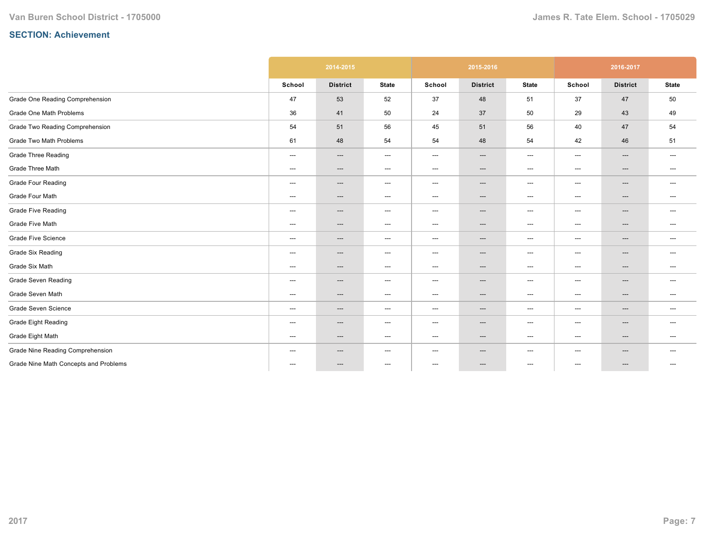|                                       |        | 2014-2015                |                                   |                          | 2015-2016                         |                                   |                                   | 2016-2017       |                                   |
|---------------------------------------|--------|--------------------------|-----------------------------------|--------------------------|-----------------------------------|-----------------------------------|-----------------------------------|-----------------|-----------------------------------|
|                                       | School | <b>District</b>          | <b>State</b>                      | School                   | <b>District</b>                   | <b>State</b>                      | School                            | <b>District</b> | <b>State</b>                      |
| Grade One Reading Comprehension       | 47     | 53                       | 52                                | 37                       | 48                                | 51                                | 37                                | 47              | 50                                |
| Grade One Math Problems               | 36     | 41                       | 50                                | 24                       | 37                                | 50                                | 29                                | 43              | 49                                |
| Grade Two Reading Comprehension       | 54     | 51                       | 56                                | 45                       | 51                                | 56                                | 40                                | 47              | 54                                |
| Grade Two Math Problems               | 61     | 48                       | 54                                | 54                       | 48                                | 54                                | 42                                | 46              | 51                                |
| <b>Grade Three Reading</b>            | ---    | $\hspace{0.05cm} \ldots$ | $\hspace{0.05cm} \dashrightarrow$ | ---                      | ---                               | $\hspace{0.05cm} \dashrightarrow$ | $\hspace{0.05cm} \dashrightarrow$ | ---             | $---$                             |
| Grade Three Math                      | ---    | $\qquad \qquad \cdots$   | $\hspace{0.05cm} \ldots$          | ---                      | $\hspace{0.05cm} \ldots$          | $\hspace{0.05cm} \ldots$          | $---$                             | ---             | $---$                             |
| <b>Grade Four Reading</b>             | ---    | $---$                    | $\hspace{0.05cm} \ldots$          | ---                      | $\qquad \qquad \cdots$            | $\hspace{0.05cm} \ldots$          | $---$                             | ---             | $\hspace{0.05cm} \ldots$          |
| Grade Four Math                       | ---    | $---$                    | $\hspace{0.05cm} \dashrightarrow$ | ---                      | $\hspace{0.05cm} \ldots$          | $\hspace{0.05cm} \cdots$          | $---$                             | ---             | $\hspace{0.05cm} \dashrightarrow$ |
| Grade Five Reading                    | ---    | ---                      | $\hspace{0.05cm} \dashrightarrow$ | ---                      | ---                               | $\hspace{0.05cm} \dashrightarrow$ | $---$                             | ---             | $---$                             |
| <b>Grade Five Math</b>                | ---    | ---                      | $\hspace{0.05cm} \dashrightarrow$ | ---                      | ---                               | $\hspace{0.05cm} \dashrightarrow$ | $\hspace{0.05cm} \dashrightarrow$ | ---             | $\hspace{0.05cm} \dashrightarrow$ |
| <b>Grade Five Science</b>             | ---    | $---$                    | $---$                             | $---$                    | ---                               | $---$                             | $---$                             | $---$           | $---$                             |
| <b>Grade Six Reading</b>              | ---    | $\hspace{0.05cm} \ldots$ | $\hspace{0.05cm} \dashrightarrow$ | ---                      | $\hspace{0.05cm} \ldots$          | $\hspace{0.05cm} \ldots$          | $\hspace{0.05cm} \ldots$          | ---             | $---$                             |
| Grade Six Math                        | ---    | ---                      | $\hspace{0.05cm} \dashrightarrow$ | ---                      | $\hspace{0.05cm} \ldots$          | $\hspace{0.05cm} \dashrightarrow$ | $\qquad \qquad \cdots$            | ---             | $\hspace{0.05cm} \dashrightarrow$ |
| <b>Grade Seven Reading</b>            | ---    | ---                      | $\hspace{0.05cm} \ldots$          | ---                      | ---                               | $\hspace{0.05cm} \ldots$          | ---                               | ---             | $---$                             |
| Grade Seven Math                      | ---    | $---$                    | $\hspace{0.05cm} \ldots$          | ---                      | $\hspace{0.05cm} \ldots$          | $\hspace{0.05cm} \ldots$          | $\qquad \qquad \cdots$            | ---             | $\hspace{0.05cm} \ldots$          |
| Grade Seven Science                   | ---    | $---$                    | $\hspace{0.05cm} \dashrightarrow$ | ---                      | $\hspace{0.05cm} \dashrightarrow$ | $\hspace{0.05cm} \ldots$          | $\qquad \qquad \cdots$            | ---             | $---$                             |
| <b>Grade Eight Reading</b>            | ---    | $\qquad \qquad \cdots$   | $\hspace{0.05cm} \ldots$          | ---                      | ---                               | $\hspace{0.05cm} \ldots$          | $---$                             | ---             | $\hspace{0.05cm} \ldots$          |
| Grade Eight Math                      | ---    | ---                      | $\hspace{0.05cm} \dashrightarrow$ | ---                      | ---                               | $\hspace{0.05cm} \dashrightarrow$ | $\hspace{0.05cm} \dashrightarrow$ | ---             | $\hspace{0.05cm} \dashrightarrow$ |
| Grade Nine Reading Comprehension      | $---$  | $---$                    | $---$                             | ---                      | $\hspace{0.05cm} \ldots$          | ---                               | $---$                             | ---             | $---$                             |
| Grade Nine Math Concepts and Problems | $---$  | ---                      | $\hspace{0.05cm} \ldots$          | $\hspace{0.05cm} \ldots$ | ---                               | $\hspace{0.05cm} \ldots$          | $---$                             | $---$           | $---$                             |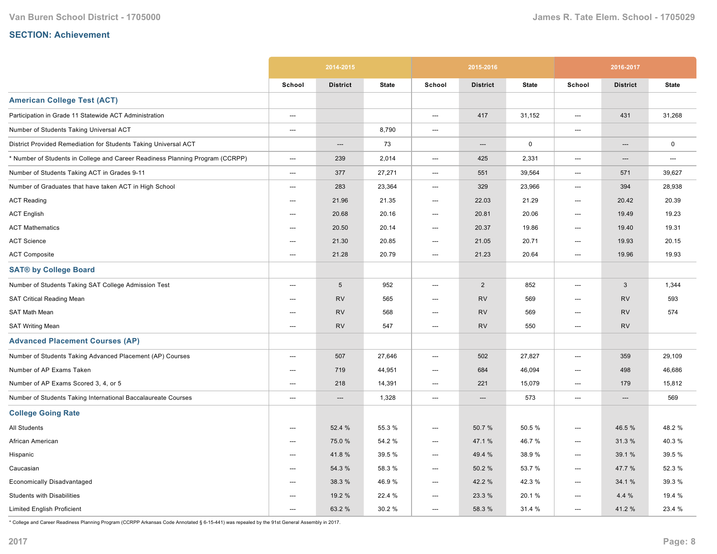|                                                                               |                          | 2014-2015       |              |                          | 2015-2016       |              |                          | 2016-2017                         |              |
|-------------------------------------------------------------------------------|--------------------------|-----------------|--------------|--------------------------|-----------------|--------------|--------------------------|-----------------------------------|--------------|
|                                                                               | School                   | <b>District</b> | <b>State</b> | School                   | <b>District</b> | <b>State</b> | School                   | <b>District</b>                   | <b>State</b> |
| <b>American College Test (ACT)</b>                                            |                          |                 |              |                          |                 |              |                          |                                   |              |
| Participation in Grade 11 Statewide ACT Administration                        | ---                      |                 |              | ---                      | 417             | 31,152       | ---                      | 431                               | 31,268       |
| Number of Students Taking Universal ACT                                       | ---                      |                 | 8,790        | ---                      |                 |              | $---$                    |                                   |              |
| District Provided Remediation for Students Taking Universal ACT               |                          | ---             | 73           |                          | $---$           | $\mathsf 0$  |                          | $---$                             | $\mathsf 0$  |
| * Number of Students in College and Career Readiness Planning Program (CCRPP) | $\hspace{0.05cm} \ldots$ | 239             | 2,014        | $\hspace{0.05cm} \cdots$ | 425             | 2,331        | ---                      | $\hspace{0.05cm} \dashrightarrow$ | ---          |
| Number of Students Taking ACT in Grades 9-11                                  | ---                      | 377             | 27,271       | ---                      | 551             | 39,564       | ---                      | 571                               | 39,627       |
| Number of Graduates that have taken ACT in High School                        | ---                      | 283             | 23,364       | ---                      | 329             | 23,966       | $---$                    | 394                               | 28,938       |
| <b>ACT Reading</b>                                                            | ---                      | 21.96           | 21.35        | ---                      | 22.03           | 21.29        | $---$                    | 20.42                             | 20.39        |
| <b>ACT English</b>                                                            | ---                      | 20.68           | 20.16        | ---                      | 20.81           | 20.06        | ---                      | 19.49                             | 19.23        |
| <b>ACT Mathematics</b>                                                        | ---                      | 20.50           | 20.14        | ---                      | 20.37           | 19.86        | ---                      | 19.40                             | 19.31        |
| <b>ACT Science</b>                                                            | $\hspace{0.05cm} \ldots$ | 21.30           | 20.85        | ---                      | 21.05           | 20.71        | $\hspace{0.05cm} \ldots$ | 19.93                             | 20.15        |
| <b>ACT Composite</b>                                                          | ---                      | 21.28           | 20.79        | ---                      | 21.23           | 20.64        | ---                      | 19.96                             | 19.93        |
| <b>SAT® by College Board</b>                                                  |                          |                 |              |                          |                 |              |                          |                                   |              |
| Number of Students Taking SAT College Admission Test                          | ---                      | $5\phantom{.0}$ | 952          | ---                      | $\overline{2}$  | 852          | $---$                    | 3                                 | 1,344        |
| SAT Critical Reading Mean                                                     | ---                      | <b>RV</b>       | 565          | ---                      | <b>RV</b>       | 569          | ---                      | <b>RV</b>                         | 593          |
| SAT Math Mean                                                                 | ---                      | <b>RV</b>       | 568          | ---                      | <b>RV</b>       | 569          | $\overline{a}$           | <b>RV</b>                         | 574          |
| <b>SAT Writing Mean</b>                                                       | $\overline{\phantom{a}}$ | <b>RV</b>       | 547          | ---                      | <b>RV</b>       | 550          | $---$                    | <b>RV</b>                         |              |
| <b>Advanced Placement Courses (AP)</b>                                        |                          |                 |              |                          |                 |              |                          |                                   |              |
| Number of Students Taking Advanced Placement (AP) Courses                     | $---$                    | 507             | 27,646       | $\overline{\phantom{a}}$ | 502             | 27,827       | $---$                    | 359                               | 29,109       |
| Number of AP Exams Taken                                                      | ---                      | 719             | 44,951       | ---                      | 684             | 46,094       | ---                      | 498                               | 46,686       |
| Number of AP Exams Scored 3, 4, or 5                                          | ---                      | 218             | 14,391       | ---                      | 221             | 15,079       | ---                      | 179                               | 15,812       |
| Number of Students Taking International Baccalaureate Courses                 | $\hspace{0.05cm} \ldots$ | $---$           | 1,328        | ---                      | $---$           | 573          | ---                      | $---$                             | 569          |
| <b>College Going Rate</b>                                                     |                          |                 |              |                          |                 |              |                          |                                   |              |
| <b>All Students</b>                                                           | ---                      | 52.4 %          | 55.3 %       | ---                      | 50.7%           | 50.5 %       | ---                      | 46.5 %                            | 48.2%        |
| African American                                                              | ---                      | 75.0%           | 54.2 %       | ---                      | 47.1 %          | 46.7%        | ---                      | 31.3%                             | 40.3%        |
| Hispanic                                                                      | ---                      | 41.8%           | 39.5 %       | ---                      | 49.4 %          | 38.9%        | $\overline{\phantom{a}}$ | 39.1 %                            | 39.5 %       |
| Caucasian                                                                     | ---                      | 54.3 %          | 58.3%        | ---                      | 50.2%           | 53.7 %       | $---$                    | 47.7 %                            | 52.3 %       |
| <b>Economically Disadvantaged</b>                                             | ---                      | 38.3 %          | 46.9%        | ---                      | 42.2 %          | 42.3 %       | ---                      | 34.1 %                            | 39.3 %       |
| <b>Students with Disabilities</b>                                             | ---                      | 19.2 %          | 22.4 %       | ---                      | 23.3 %          | 20.1%        | ---                      | 4.4 %                             | 19.4 %       |
| <b>Limited English Proficient</b>                                             | ---                      | 63.2%           | 30.2%        | $\overline{\phantom{a}}$ | 58.3 %          | 31.4 %       | $---$                    | 41.2%                             | 23.4 %       |

\* College and Career Readiness Planning Program (CCRPP Arkansas Code Annotated § 615441) was repealed by the 91st General Assembly in 2017.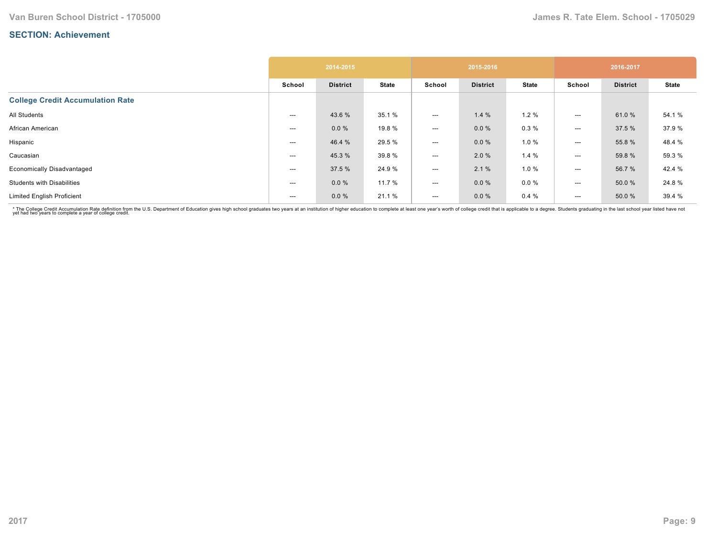|                                         |        | 2014-2015       |              |        | 2015-2016       |              |        | 2016-2017       |              |
|-----------------------------------------|--------|-----------------|--------------|--------|-----------------|--------------|--------|-----------------|--------------|
|                                         | School | <b>District</b> | <b>State</b> | School | <b>District</b> | <b>State</b> | School | <b>District</b> | <b>State</b> |
| <b>College Credit Accumulation Rate</b> |        |                 |              |        |                 |              |        |                 |              |
| All Students                            | $--$   | 43.6 %          | 35.1 %       | ---    | 1.4%            | 1.2%         | ---    | 61.0%           | 54.1 %       |
| African American                        | $---$  | 0.0%            | 19.8 %       | ---    | $0.0 \%$        | 0.3%         | ---    | 37.5 %          | 37.9%        |
| Hispanic                                | ---    | 46.4 %          | 29.5 %       | ---    | 0.0%            | 1.0%         | ---    | 55.8 %          | 48.4 %       |
| Caucasian                               | ---    | 45.3%           | 39.8%        | ---    | 2.0 %           | 1.4%         | ---    | 59.8 %          | 59.3 %       |
| <b>Economically Disadvantaged</b>       | ---    | 37.5 %          | 24.9%        | ---    | 2.1%            | 1.0%         | ---    | 56.7 %          | 42.4 %       |
| <b>Students with Disabilities</b>       | ---    | $0.0 \%$        | 11.7 %       | ---    | $0.0 \%$        | $0.0 \%$     | $---$  | 50.0 %          | 24.8%        |
| <b>Limited English Proficient</b>       | $---$  | $0.0 \%$        | 21.1 %       | ---    | $0.0 \%$        | 0.4%         | $---$  | 50.0%           | 39.4 %       |

\* The College Credit Accumulation Rate definition from the U.S. Department of Education gives high school graduates two years at an institution of higher education to complete at least one year's worth of college credit th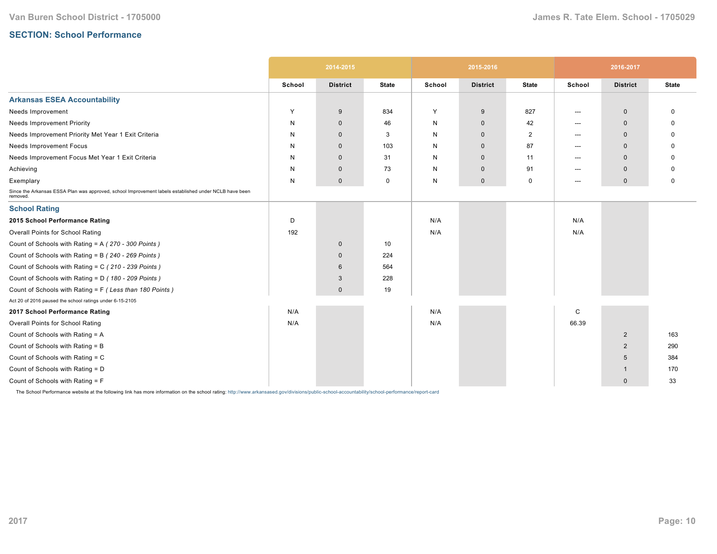# **SECTION: School Performance**

|                                                                                                                   |        | 2014-2015           |              |              | 2015-2016           |              |        | 2016-2017       |              |
|-------------------------------------------------------------------------------------------------------------------|--------|---------------------|--------------|--------------|---------------------|--------------|--------|-----------------|--------------|
|                                                                                                                   | School | <b>District</b>     | <b>State</b> | School       | <b>District</b>     | <b>State</b> | School | <b>District</b> | <b>State</b> |
| <b>Arkansas ESEA Accountability</b>                                                                               |        |                     |              |              |                     |              |        |                 |              |
| Needs Improvement                                                                                                 | Y      | 9                   | 834          | Y            | 9                   | 827          | ---    | $\mathbf 0$     | 0            |
| <b>Needs Improvement Priority</b>                                                                                 | N      | $\mathbf{0}$        | 46           | N            | $\mathbf 0$         | 42           | ---    | $\mathbf{0}$    |              |
| Needs Improvement Priority Met Year 1 Exit Criteria                                                               | N      | $\mathbf{0}$        | 3            | N            | $\mathbf{0}$        | 2            | ---    | $\mathbf 0$     | <sup>0</sup> |
| Needs Improvement Focus                                                                                           | N      | $\mathbf{0}$        | 103          | N            | $\mathbf{0}$        | 87           | ---    | $\mathbf 0$     | <sup>0</sup> |
| Needs Improvement Focus Met Year 1 Exit Criteria                                                                  | N      | $\mathbf 0$         | 31           | N            | $\mathbf 0$         | 11           | ---    | $\mathbf{0}$    |              |
| Achieving                                                                                                         | N      | $\mathbf 0$         | 73           | N            | $\mathbf 0$         | 91           | $---$  | $\mathbf{0}$    | 0            |
| Exemplary                                                                                                         | N      | $\mathsf{O}\xspace$ | $\mathbf 0$  | $\mathsf{N}$ | $\mathsf{O}\xspace$ | 0            | $---$  | $\mathbf 0$     | 0            |
| Since the Arkansas ESSA Plan was approved, school Improvement labels established under NCLB have been<br>removed. |        |                     |              |              |                     |              |        |                 |              |
| <b>School Rating</b>                                                                                              |        |                     |              |              |                     |              |        |                 |              |
| 2015 School Performance Rating                                                                                    | D      |                     |              | N/A          |                     |              | N/A    |                 |              |
| Overall Points for School Rating                                                                                  | 192    |                     |              | N/A          |                     |              | N/A    |                 |              |
| Count of Schools with Rating = A (270 - 300 Points)                                                               |        | $\mathbf 0$         | 10           |              |                     |              |        |                 |              |
| Count of Schools with Rating = B (240 - 269 Points)                                                               |        | $\mathbf{0}$        | 224          |              |                     |              |        |                 |              |
| Count of Schools with Rating = C (210 - 239 Points)                                                               |        | 6                   | 564          |              |                     |              |        |                 |              |
| Count of Schools with Rating = D (180 - 209 Points)                                                               |        | 3                   | 228          |              |                     |              |        |                 |              |
| Count of Schools with Rating = F (Less than 180 Points)                                                           |        | $\mathbf{0}$        | 19           |              |                     |              |        |                 |              |
| Act 20 of 2016 paused the school ratings under 6-15-2105                                                          |        |                     |              |              |                     |              |        |                 |              |
| 2017 School Performance Rating                                                                                    | N/A    |                     |              | N/A          |                     |              | C      |                 |              |
| Overall Points for School Rating                                                                                  | N/A    |                     |              | N/A          |                     |              | 66.39  |                 |              |
| Count of Schools with Rating = A                                                                                  |        |                     |              |              |                     |              |        | $\overline{2}$  | 163          |
| Count of Schools with Rating = B                                                                                  |        |                     |              |              |                     |              |        | $\overline{2}$  | 290          |
| Count of Schools with Rating = C                                                                                  |        |                     |              |              |                     |              |        | 5               | 384          |
| Count of Schools with Rating = D                                                                                  |        |                     |              |              |                     |              |        | -1              | 170          |
| Count of Schools with Rating = F                                                                                  |        |                     |              |              |                     |              |        | $\mathbf{0}$    | 33           |

The School Performance website at the following link has more information on the school rating: http://www.arkansased.gov/divisions/public-school-accountability/school-performance/report-card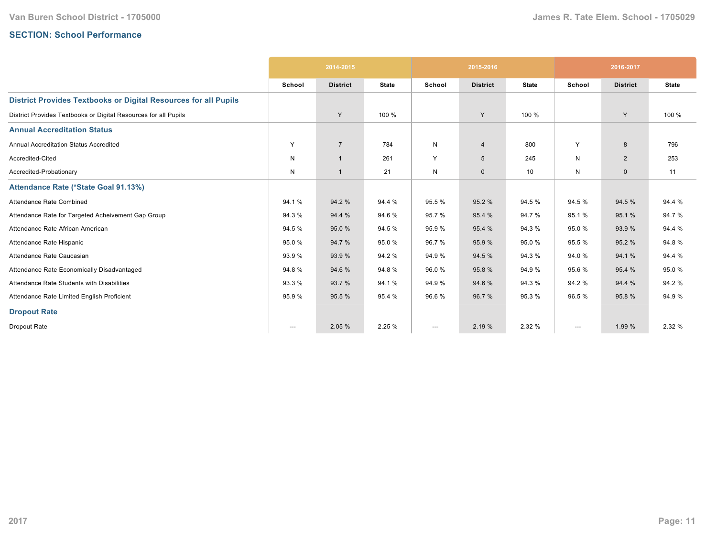# **SECTION: School Performance**

|                                                                        |                          | 2014-2015       |              |        | 2015-2016       |              |                        | 2016-2017       |              |
|------------------------------------------------------------------------|--------------------------|-----------------|--------------|--------|-----------------|--------------|------------------------|-----------------|--------------|
|                                                                        | School                   | <b>District</b> | <b>State</b> | School | <b>District</b> | <b>State</b> | School                 | <b>District</b> | <b>State</b> |
| <b>District Provides Textbooks or Digital Resources for all Pupils</b> |                          |                 |              |        |                 |              |                        |                 |              |
| District Provides Textbooks or Digital Resources for all Pupils        |                          | Y               | 100 %        |        | Y               | 100 %        |                        | Y               | 100 %        |
| <b>Annual Accreditation Status</b>                                     |                          |                 |              |        |                 |              |                        |                 |              |
| <b>Annual Accreditation Status Accredited</b>                          | Y                        | $\overline{7}$  | 784          | N      | $\overline{4}$  | 800          | Y                      | 8               | 796          |
| Accredited-Cited                                                       | N                        | $\mathbf{1}$    | 261          | Y      | 5               | 245          | N                      | 2               | 253          |
| Accredited-Probationary                                                | N                        | $\mathbf{1}$    | 21           | N      | $\mathbf 0$     | 10           | N                      | 0               | 11           |
| Attendance Rate (*State Goal 91.13%)                                   |                          |                 |              |        |                 |              |                        |                 |              |
| Attendance Rate Combined                                               | 94.1%                    | 94.2 %          | 94.4 %       | 95.5%  | 95.2 %          | 94.5 %       | 94.5%                  | 94.5 %          | 94.4 %       |
| Attendance Rate for Targeted Acheivement Gap Group                     | 94.3%                    | 94.4 %          | 94.6%        | 95.7 % | 95.4 %          | 94.7%        | 95.1%                  | 95.1%           | 94.7%        |
| Attendance Rate African American                                       | 94.5 %                   | 95.0%           | 94.5%        | 95.9%  | 95.4 %          | 94.3%        | 95.0%                  | 93.9%           | 94.4 %       |
| Attendance Rate Hispanic                                               | 95.0%                    | 94.7 %          | 95.0%        | 96.7%  | 95.9 %          | 95.0%        | 95.5%                  | 95.2 %          | 94.8%        |
| Attendance Rate Caucasian                                              | 93.9%                    | 93.9 %          | 94.2%        | 94.9%  | 94.5 %          | 94.3%        | 94.0%                  | 94.1 %          | 94.4 %       |
| Attendance Rate Economically Disadvantaged                             | 94.8%                    | 94.6%           | 94.8%        | 96.0%  | 95.8%           | 94.9%        | 95.6%                  | 95.4 %          | 95.0%        |
| Attendance Rate Students with Disabilities                             | 93.3%                    | 93.7 %          | 94.1%        | 94.9%  | 94.6 %          | 94.3%        | 94.2%                  | 94.4 %          | 94.2%        |
| Attendance Rate Limited English Proficient                             | 95.9%                    | 95.5 %          | 95.4 %       | 96.6%  | 96.7 %          | 95.3%        | 96.5 %                 | 95.8%           | 94.9%        |
| <b>Dropout Rate</b>                                                    |                          |                 |              |        |                 |              |                        |                 |              |
| <b>Dropout Rate</b>                                                    | $\hspace{0.05cm} \ldots$ | 2.05 %          | 2.25 %       | ---    | 2.19 %          | 2.32 %       | $\qquad \qquad \cdots$ | 1.99 %          | 2.32 %       |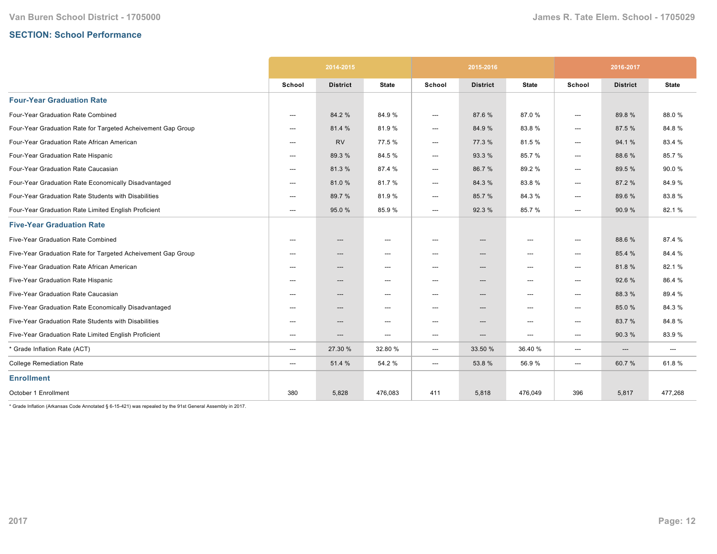# **SECTION: School Performance**

|                                                              |        | 2014-2015       |                                   |                        | 2015-2016                |                                   | 2016-2017 |                        |              |
|--------------------------------------------------------------|--------|-----------------|-----------------------------------|------------------------|--------------------------|-----------------------------------|-----------|------------------------|--------------|
|                                                              | School | <b>District</b> | <b>State</b>                      | School                 | <b>District</b>          | <b>State</b>                      | School    | <b>District</b>        | <b>State</b> |
| <b>Four-Year Graduation Rate</b>                             |        |                 |                                   |                        |                          |                                   |           |                        |              |
| Four-Year Graduation Rate Combined                           | ---    | 84.2 %          | 84.9%                             | $\qquad \qquad \cdots$ | 87.6%                    | 87.0%                             | ---       | 89.8%                  | 88.0%        |
| Four-Year Graduation Rate for Targeted Acheivement Gap Group | ---    | 81.4 %          | 81.9%                             | ---                    | 84.9%                    | 83.8%                             | ---       | 87.5 %                 | 84.8%        |
| Four-Year Graduation Rate African American                   | ---    | <b>RV</b>       | 77.5 %                            | ---                    | 77.3 %                   | 81.5%                             | ---       | 94.1%                  | 83.4 %       |
| Four-Year Graduation Rate Hispanic                           | ---    | 89.3 %          | 84.5%                             | ---                    | 93.3 %                   | 85.7%                             | ---       | 88.6%                  | 85.7%        |
| Four-Year Graduation Rate Caucasian                          | ---    | 81.3%           | 87.4 %                            | ---                    | 86.7%                    | 89.2%                             | ---       | 89.5 %                 | 90.0%        |
| Four-Year Graduation Rate Economically Disadvantaged         | $---$  | 81.0%           | 81.7%                             | ---                    | 84.3%                    | 83.8%                             | ---       | 87.2 %                 | 84.9%        |
| Four-Year Graduation Rate Students with Disabilities         | ---    | 89.7 %          | 81.9%                             | ---                    | 85.7%                    | 84.3%                             | ---       | 89.6%                  | 83.8%        |
| Four-Year Graduation Rate Limited English Proficient         | $---$  | 95.0%           | 85.9%                             | $---$                  | 92.3 %                   | 85.7%                             | $---$     | 90.9%                  | 82.1%        |
| <b>Five-Year Graduation Rate</b>                             |        |                 |                                   |                        |                          |                                   |           |                        |              |
| Five-Year Graduation Rate Combined                           | ---    | ---             | $\hspace{0.05cm} \ldots$          | ---                    | ---                      | $\overline{\phantom{a}}$          | ---       | 88.6%                  | 87.4 %       |
| Five-Year Graduation Rate for Targeted Acheivement Gap Group | ---    | ---             | $\hspace{0.05cm} \ldots$          | ---                    | $\hspace{0.05cm} \cdots$ | $\overline{\phantom{a}}$          | ---       | 85.4 %                 | 84.4 %       |
| Five-Year Graduation Rate African American                   | $---$  | ---             | $\hspace{0.05cm} \cdots$          | ---                    | ---                      | ---                               | ---       | 81.8%                  | 82.1%        |
| Five-Year Graduation Rate Hispanic                           | $---$  | ---             | $\hspace{0.05cm} \dashrightarrow$ | ---                    | ---                      | $---$                             | ---       | 92.6%                  | 86.4 %       |
| Five-Year Graduation Rate Caucasian                          | $---$  | ---             | $\hspace{0.05cm} \ldots$          | ---                    | $---$                    | $---$                             | ---       | 88.3%                  | 89.4%        |
| Five-Year Graduation Rate Economically Disadvantaged         | $---$  | ---             | $---$                             | $---$                  | $---$                    | $---$                             | ---       | 85.0%                  | 84.3%        |
| Five-Year Graduation Rate Students with Disabilities         | ---    | ---             | $\hspace{0.05cm} \dashrightarrow$ | ---                    | ---                      | $\hspace{0.05cm} \dashrightarrow$ | ---       | 83.7%                  | 84.8%        |
| Five-Year Graduation Rate Limited English Proficient         | $---$  | ---             | $---$                             | $---$                  | $\overline{\phantom{a}}$ | $---$                             | ---       | 90.3%                  | 83.9%        |
| * Grade Inflation Rate (ACT)                                 | ---    | 27.30 %         | 32.80 %                           | $\qquad \qquad \cdots$ | 33.50 %                  | 36.40 %                           | ---       | $\qquad \qquad \cdots$ | ---          |
| <b>College Remediation Rate</b>                              | ---    | 51.4 %          | 54.2 %                            | ---                    | 53.8%                    | 56.9%                             | ---       | 60.7%                  | 61.8%        |
| <b>Enrollment</b>                                            |        |                 |                                   |                        |                          |                                   |           |                        |              |
| October 1 Enrollment                                         | 380    | 5,828           | 476,083                           | 411                    | 5,818                    | 476,049                           | 396       | 5,817                  | 477,268      |

 $*$  Grade Inflation (Arkansas Code Annotated § 6-15-421) was repealed by the 91st General Assembly in 2017.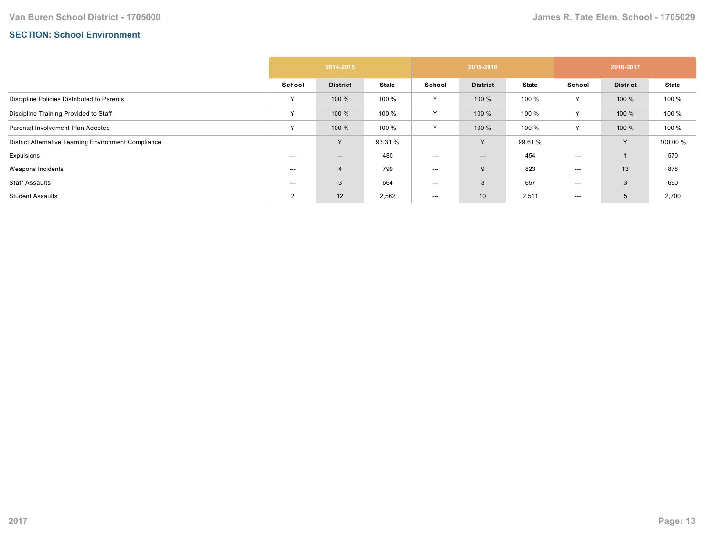# **SECTION: School Environment**

|                                                      | 2014-2015      |                 |              | 2015-2016 |                 |              | 2016-2017 |                 |              |
|------------------------------------------------------|----------------|-----------------|--------------|-----------|-----------------|--------------|-----------|-----------------|--------------|
|                                                      | School         | <b>District</b> | <b>State</b> | School    | <b>District</b> | <b>State</b> | School    | <b>District</b> | <b>State</b> |
| Discipline Policies Distributed to Parents           | $\checkmark$   | 100 %           | 100 %        | Y         | 100 %           | 100 %        | Y         | 100 %           | 100 %        |
| Discipline Training Provided to Staff                | $\checkmark$   | 100 %           | 100 %        | Y         | 100 %           | 100 %        | Υ         | 100 %           | 100 %        |
| Parental Involvement Plan Adopted                    | $\checkmark$   | 100 %           | 100 %        | Y         | 100 %           | 100 %        | Y         | 100 %           | 100 %        |
| District Alternative Learning Environment Compliance |                | v               | 93.31 %      |           | Y               | 99.61 %      |           | $\vee$          | 100.00 %     |
| Expulsions                                           | $---$          | ---             | 480          | ---       | $---$           | 454          | ---       |                 | 570          |
| Weapons Incidents                                    | $---$          | 4               | 799          | ---       | 9               | 823          | ---       | 13              | 878          |
| <b>Staff Assaults</b>                                | $--$           | 3               | 664          | ---       | 3               | 657          | ---       | 3               | 690          |
| <b>Student Assaults</b>                              | $\overline{2}$ | 12              | 2,562        | $---$     | 10              | 2,511        | ---       | 5               | 2,700        |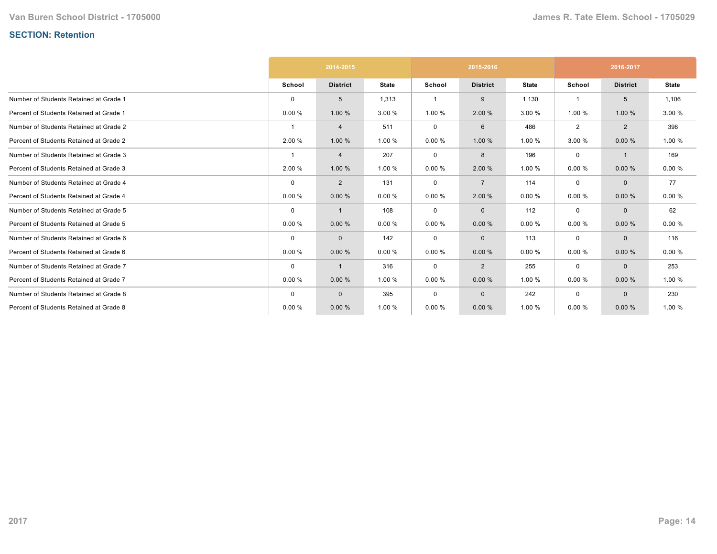# **SECTION: Retention**

|                                         |             | 2014-2015       |              | 2015-2016      |                 |              | 2016-2017   |                 |              |
|-----------------------------------------|-------------|-----------------|--------------|----------------|-----------------|--------------|-------------|-----------------|--------------|
|                                         | School      | <b>District</b> | <b>State</b> | School         | <b>District</b> | <b>State</b> | School      | <b>District</b> | <b>State</b> |
| Number of Students Retained at Grade 1  | 0           | 5               | 1,313        | $\overline{1}$ | 9               | 1,130        |             | 5               | 1,106        |
| Percent of Students Retained at Grade 1 | 0.00%       | 1.00 %          | 3.00 %       | 1.00 %         | 2.00 %          | 3.00 %       | 1.00 %      | 1.00 %          | 3.00 %       |
| Number of Students Retained at Grade 2  | -1          | 4               | 511          | $\mathbf 0$    | 6               | 486          | 2           | $\overline{2}$  | 398          |
| Percent of Students Retained at Grade 2 | 2.00 %      | 1.00 %          | 1.00 %       | 0.00%          | 1.00 %          | 1.00 %       | 3.00 %      | 0.00%           | 1.00 %       |
| Number of Students Retained at Grade 3  |             | 4               | 207          | 0              | 8               | 196          | 0           | $\mathbf{1}$    | 169          |
| Percent of Students Retained at Grade 3 | 2.00 %      | 1.00 %          | 1.00 %       | 0.00%          | 2.00 %          | 1.00 %       | 0.00%       | 0.00%           | 0.00%        |
| Number of Students Retained at Grade 4  | 0           | $\overline{2}$  | 131          | $\mathbf 0$    | $\overline{7}$  | 114          | $\mathbf 0$ | $\mathbf{0}$    | 77           |
| Percent of Students Retained at Grade 4 | 0.00%       | 0.00%           | 0.00%        | 0.00%          | 2.00 %          | 0.00%        | 0.00%       | 0.00%           | 0.00%        |
| Number of Students Retained at Grade 5  | $\mathbf 0$ | 1               | 108          | 0              | $\mathbf 0$     | 112          | 0           | $\Omega$        | 62           |
| Percent of Students Retained at Grade 5 | 0.00%       | 0.00%           | 0.00%        | 0.00%          | 0.00%           | 0.00%        | 0.00%       | 0.00%           | 0.00%        |
| Number of Students Retained at Grade 6  | $\Omega$    | $\mathbf{0}$    | 142          | 0              | $\mathbf 0$     | 113          | $\mathbf 0$ | $\mathbf{0}$    | 116          |
| Percent of Students Retained at Grade 6 | 0.00%       | 0.00%           | 0.00%        | 0.00%          | 0.00%           | 0.00%        | 0.00%       | 0.00%           | 0.00%        |
| Number of Students Retained at Grade 7  | $\mathbf 0$ | 1               | 316          | 0              | $\overline{2}$  | 255          | $\mathbf 0$ | $\mathbf{0}$    | 253          |
| Percent of Students Retained at Grade 7 | 0.00%       | 0.00%           | 1.00 %       | 0.00%          | 0.00%           | 1.00 %       | 0.00%       | 0.00%           | 1.00 %       |
| Number of Students Retained at Grade 8  | $\Omega$    | $\mathbf{0}$    | 395          | $\mathbf 0$    | $\mathbf 0$     | 242          | $\mathbf 0$ | $\Omega$        | 230          |
| Percent of Students Retained at Grade 8 | 0.00%       | 0.00%           | 1.00 %       | 0.00%          | 0.00%           | 1.00 %       | 0.00%       | 0.00%           | 1.00 %       |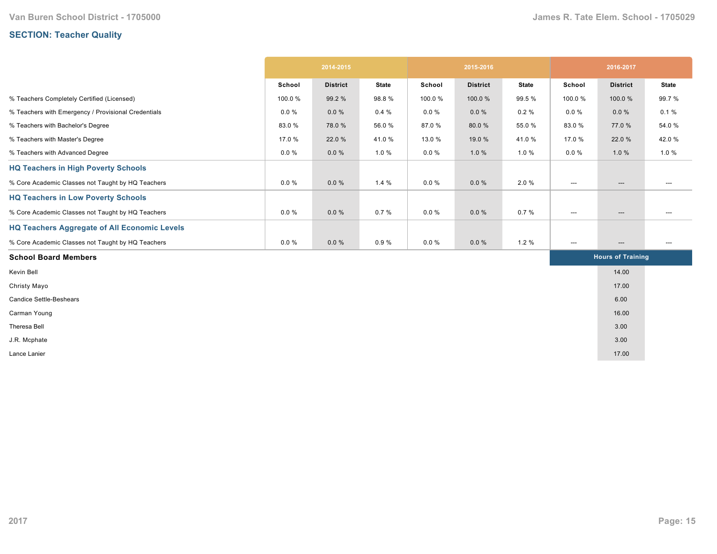# **SECTION: Teacher Quality**

|                                                     | 2014-2015 |                 | 2015-2016    |          |                 | 2016-2017    |                                   |                          |                                   |
|-----------------------------------------------------|-----------|-----------------|--------------|----------|-----------------|--------------|-----------------------------------|--------------------------|-----------------------------------|
|                                                     | School    | <b>District</b> | <b>State</b> | School   | <b>District</b> | <b>State</b> | School                            | <b>District</b>          | <b>State</b>                      |
| % Teachers Completely Certified (Licensed)          | 100.0%    | 99.2 %          | 98.8%        | 100.0%   | 100.0%          | 99.5 %       | 100.0%                            | 100.0%                   | 99.7%                             |
| % Teachers with Emergency / Provisional Credentials | $0.0 \%$  | $0.0 \%$        | 0.4%         | $0.0 \%$ | $0.0 \%$        | 0.2%         | $0.0 \%$                          | $0.0 \%$                 | 0.1%                              |
| % Teachers with Bachelor's Degree                   | 83.0%     | 78.0%           | 56.0%        | 87.0%    | 80.0%           | 55.0 %       | 83.0%                             | 77.0 %                   | 54.0 %                            |
| % Teachers with Master's Degree                     | 17.0 %    | 22.0 %          | 41.0%        | 13.0 %   | 19.0 %          | 41.0%        | 17.0 %                            | 22.0 %                   | 42.0%                             |
| % Teachers with Advanced Degree                     | $0.0 \%$  | $0.0 \%$        | 1.0%         | $0.0 \%$ | 1.0%            | 1.0%         | $0.0 \%$                          | 1.0%                     | 1.0%                              |
| <b>HQ Teachers in High Poverty Schools</b>          |           |                 |              |          |                 |              |                                   |                          |                                   |
| % Core Academic Classes not Taught by HQ Teachers   | $0.0 \%$  | $0.0 \%$        | 1.4%         | $0.0 \%$ | $0.0 \%$        | 2.0%         | $\hspace{0.05cm} \dashrightarrow$ | $\hspace{0.05cm} \ldots$ | ---                               |
| <b>HQ Teachers in Low Poverty Schools</b>           |           |                 |              |          |                 |              |                                   |                          |                                   |
| % Core Academic Classes not Taught by HQ Teachers   | $0.0 \%$  | $0.0 \%$        | 0.7%         | $0.0 \%$ | $0.0 \%$        | 0.7%         | $\hspace{0.05cm} \ldots$          | ---                      | ---                               |
| <b>HQ Teachers Aggregate of All Economic Levels</b> |           |                 |              |          |                 |              |                                   |                          |                                   |
| % Core Academic Classes not Taught by HQ Teachers   | $0.0 \%$  | $0.0 \%$        | 0.9%         | $0.0 \%$ | $0.0 \%$        | 1.2%         | $\hspace{0.05cm} \dashrightarrow$ | $\hspace{0.05cm} \ldots$ | $\hspace{0.05cm} \dashrightarrow$ |
| <b>School Board Members</b>                         |           |                 |              |          |                 |              |                                   | <b>Hours of Training</b> |                                   |
| Kevin Bell                                          |           |                 |              |          |                 |              |                                   | 14.00                    |                                   |
| Christy Mayo                                        |           |                 |              |          |                 |              |                                   | 17.00                    |                                   |
| <b>Candice Settle-Beshears</b>                      |           |                 |              |          |                 |              |                                   | 6.00                     |                                   |
| Carman Young                                        |           |                 |              |          |                 |              |                                   | 16.00                    |                                   |
| Theresa Bell                                        |           |                 |              |          |                 |              |                                   | 3.00                     |                                   |
| J.R. Mcphate                                        |           |                 |              |          |                 |              |                                   | 3.00                     |                                   |
| Lance Lanier                                        |           |                 |              |          |                 |              |                                   | 17.00                    |                                   |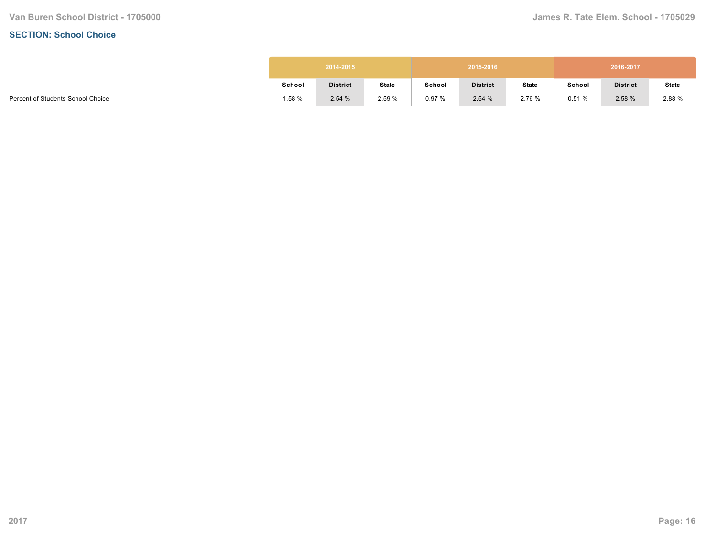#### **SECTION: School Choice**

| 2014-2015<br>2015-2016 |                 |              |        |                 |              |        | 2016-2017       |              |
|------------------------|-----------------|--------------|--------|-----------------|--------------|--------|-----------------|--------------|
| School                 | <b>District</b> | <b>State</b> | School | <b>District</b> | <b>State</b> | School | <b>District</b> | <b>State</b> |
| 1.58%                  | 2.54%           | 2.59%        | 0.97%  | 2.54%           | 2.76 %       | 0.51%  | 2.58%           | 2.88 %       |

Percent of Students School Choice